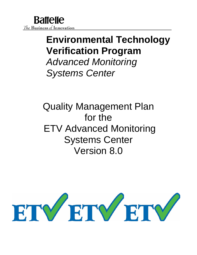# **Environmental Technology Verification Program**

*Advanced Monitoring Systems Center*

Quality Management Plan for the ETV Advanced Monitoring Systems Center Version 8.0

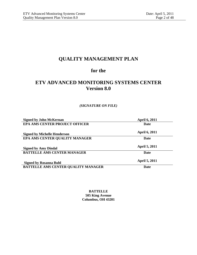# **QUALITY MANAGEMENT PLAN**

# **for the**

# **ETV ADVANCED MONITORING SYSTEMS CENTER Version 8.0**

# *(SIGNATURE ON FILE)*

| <b>Signed by John McKernan</b>        | <b>April 6, 2011</b> |
|---------------------------------------|----------------------|
| <b>EPA AMS CENTER PROJECT OFFICER</b> | <b>Date</b>          |
| <b>Signed by Michelle Henderson</b>   | <b>April 6, 2011</b> |
| EPA AMS CENTER QUALITY MANAGER        | <b>Date</b>          |
| <b>Signed by Amy Dindal</b>           | <b>April 5, 2011</b> |
| <b>BATTELLE AMS CENTER MANAGER</b>    | <b>Date</b>          |
| <b>Signed by Rosanna Buhl</b>         | <b>April 5, 2011</b> |
| BATTELLE AMS CENTER QUALITY MANAGER   | <b>Date</b>          |

**BATTELLE 505 King Avenue Columbus, OH 43201**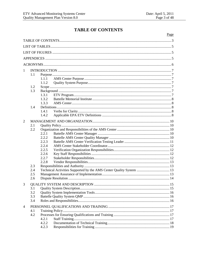# **TABLE OF CONTENTS**

<span id="page-2-0"></span>

|                |     |                                                                     | Page |
|----------------|-----|---------------------------------------------------------------------|------|
|                |     |                                                                     |      |
|                |     |                                                                     |      |
|                |     |                                                                     |      |
|                |     |                                                                     |      |
|                |     |                                                                     |      |
|                |     |                                                                     |      |
| $\mathbf{1}$   |     |                                                                     |      |
|                | 1.1 |                                                                     |      |
|                |     | 1.1.1                                                               |      |
|                |     | 1.1.2                                                               |      |
|                | 1.2 |                                                                     |      |
|                | 1.3 |                                                                     |      |
|                |     | 1.3.1                                                               |      |
|                |     | 1.3.2                                                               |      |
|                |     | 1.3.3                                                               |      |
|                | 1.4 |                                                                     |      |
|                |     | 1.4.1                                                               |      |
|                |     | 1.4.2                                                               |      |
| $\overline{2}$ |     |                                                                     |      |
|                | 2.1 |                                                                     |      |
|                | 2.2 |                                                                     |      |
|                |     | 2.2.1                                                               |      |
|                |     | 2.2.2                                                               |      |
|                |     | 2.2.3                                                               |      |
|                |     | 2.2.4                                                               |      |
|                |     | 2.2.5                                                               |      |
|                |     | 2.2.6                                                               |      |
|                |     | 2.2.7                                                               |      |
|                |     | 2.2.8                                                               |      |
|                | 2.3 |                                                                     |      |
|                | 2.4 | Technical Activities Supported by the AMS Center Quality System  13 |      |
|                | 2.5 |                                                                     |      |
|                | 2.6 |                                                                     |      |
| 3              |     |                                                                     |      |
|                | 3.1 |                                                                     |      |
|                | 3.2 |                                                                     |      |
|                | 3.3 |                                                                     |      |
|                | 3.4 |                                                                     |      |
| 4              |     |                                                                     |      |
|                | 4.1 |                                                                     |      |
|                | 4.2 |                                                                     |      |
|                |     | 4.2.1                                                               |      |
|                |     | 4.2.2                                                               |      |
|                |     | 4.2.3                                                               |      |
|                |     |                                                                     |      |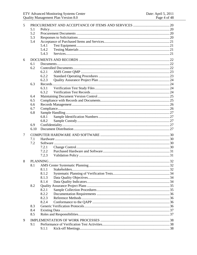| 5   |      |       |  |
|-----|------|-------|--|
|     | 5.1  |       |  |
|     | 5.2  |       |  |
|     | 5.3  |       |  |
| 5.4 |      |       |  |
|     |      | 5.4.1 |  |
|     |      | 5.4.2 |  |
|     |      | 5.4.3 |  |
| 6   |      |       |  |
|     | 6.1  |       |  |
|     | 6.2  |       |  |
|     |      | 6.2.1 |  |
|     |      | 6.2.2 |  |
|     |      | 6.2.3 |  |
|     | 6.3  |       |  |
|     |      | 6.3.1 |  |
|     |      | 6.3.2 |  |
|     | 6.4  |       |  |
|     | 6.5  |       |  |
|     | 6.6  |       |  |
|     | 6.7  |       |  |
|     | 6.8  |       |  |
|     |      | 6.8.1 |  |
|     |      | 6.8.2 |  |
|     | 6.9  |       |  |
|     | 6.10 |       |  |
| 7   |      |       |  |
|     | 7.1  |       |  |
|     | 7.2  |       |  |
|     |      | 7.2.1 |  |
|     |      | 7.2.2 |  |
|     |      | 7.2.3 |  |
| 8   |      |       |  |
|     | 8.1  |       |  |
|     |      | 8.1.1 |  |
|     |      | 8.1.2 |  |
|     |      | 8.1.3 |  |
|     |      | 8.1.4 |  |
|     | 8.2  |       |  |
|     |      |       |  |
|     |      | 8.2.1 |  |
|     |      | 8.2.2 |  |
|     |      | 8.2.3 |  |
|     |      | 8.2.4 |  |
|     | 8.3  |       |  |
|     | 8.4  |       |  |
|     | 8.5  |       |  |
| 9   |      |       |  |
|     | 9.1  |       |  |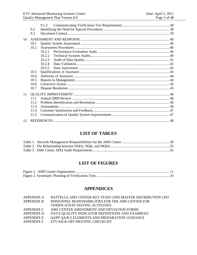|    | 9.2<br>9.3 | 9.1.2  |  |
|----|------------|--------|--|
| 10 |            |        |  |
|    | 10.1       |        |  |
|    | 10.2       |        |  |
|    |            | 1021   |  |
|    |            | 10.2.2 |  |
|    |            | 10.2.3 |  |
|    |            | 10.2.4 |  |
|    |            | 10.2.5 |  |
|    | 10.3       |        |  |
|    | 10.4       |        |  |
|    | 10.5       |        |  |
|    | 10.6       |        |  |
|    | 10.7       |        |  |
| 11 |            |        |  |
|    | 11.1       |        |  |
|    | 11.2       |        |  |
|    | 11.3       |        |  |
|    | 114        |        |  |
|    | 11.5       |        |  |
| 12 |            |        |  |

# **LIST OF TABLES**

<span id="page-4-0"></span>

# **LIST OF FIGURES**

<span id="page-4-1"></span>

# **APPENDICES**

<span id="page-4-2"></span>

| APPENDIX A        | BATTELLE AMS CENTER KEY STAFF AND MASTER DISTRIBUTION LIST |
|-------------------|------------------------------------------------------------|
| <b>APPENDIX B</b> | PERSONNEL RESPONSIBILITIES FOR THE AMS CENTER FOR          |
|                   | <b>VERIFICATION TESTING ACTIVITIES</b>                     |
| APPENDIX C        | AMS CENTER AMENDMENT AND DEVIATION FORMS                   |
| APPENDIX D        | DATA QUALITY INDICATOR DEFINITIONS AND EXAMPLES            |
| APPENDIX E        | QAPP QA/R-5 ELEMENTS AND PREPARATION GUIDANCE              |
| APPENDIX F        | ETV KICK-OFF MEETING CHECKLIST                             |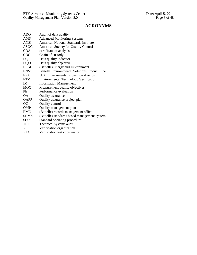# **ACRONYMS**

<span id="page-5-0"></span>

| <b>ADQ</b>  | Audit of data quality                                |
|-------------|------------------------------------------------------|
| AMS         | <b>Advanced Monitoring Systems</b>                   |
| <b>ANSI</b> | American National Standards Institute                |
| <b>ASQC</b> | <b>American Society for Quality Control</b>          |
| <b>COA</b>  | certificate of analysis                              |
| COC         | Chain of custody                                     |
| <b>DQI</b>  | Data quality indicator                               |
| <b>DQO</b>  | Data quality objective                               |
| <b>EEGB</b> | (Battelle) Energy and Environment                    |
| <b>ENVS</b> | <b>Battelle Environmental Solutions Product Line</b> |
| <b>EPA</b>  | U.S. Environmental Protection Agency                 |
| <b>ETV</b>  | <b>Environmental Technology Verification</b>         |
| IM.         | <b>Information Management</b>                        |
| <b>MQO</b>  | Measurement quality objectives                       |
| PE          | Performance evaluation                               |
| QA          | Quality assurance                                    |
| QAPP        | Quality assurance project plan                       |
| QC          | Quality control                                      |
| QMP         | Quality management plan                              |
| <b>RMO</b>  | (Battelle) records management office                 |
| <b>SBMS</b> | (Battelle) standards based management system         |
| <b>SOP</b>  | Standard operating procedure                         |
| <b>TSA</b>  | Technical systems audit                              |
| VO          | Verification organization                            |
| <b>VTC</b>  | Verification test coordinator                        |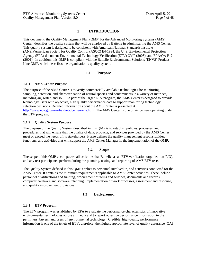# **1 INTRODUCTION**

<span id="page-6-0"></span>This document, the Quality Management Plan (QMP) for the Advanced Monitoring Systems (AMS) Center, describes the quality system that will be employed by Battelle in administering the AMS Center. This quality system is designed to be consistent with American National Standards Institute (ANSI)/American Society for Quality Control (ASQC) E4-1994, the U. S. Environmental Protection Agency (EPA) document Environmental Technology Verification (ETV) QMP (2008), and EPA/QA R-2 (2001). In addition, this QMP is compliant with the Battelle Environmental Solutions (ENVS) Product Line QMP, which describes the organization's quality system.

# **1.1 Purpose**

#### <span id="page-6-2"></span><span id="page-6-1"></span>**1.1.1 AMS Center Purpose**

The purpose of the AMS Center is to verify commercially-available technologies for monitoring, sampling, detection, and characterization of natural species and contaminants in a variety of matrices, including air, water, and soil. As part of the larger ETV program, the AMS Center is designed to provide technology users with objective, high quality performance data to support monitoring technology selection decisions. Detailed information about the AMS Center is presented at [http://www.epa.gov/nrmrl/std/etv/center-ams.html.](http://www.epa.gov/nrmrl/std/etv/center-ams.html) The AMS Center is one of six centers operating under the ETV program.

#### <span id="page-6-3"></span>**1.1.2 Quality System Purpose**

The purpose of the Quality System described in this QMP is to establish policies, processes, and procedures that will ensure that the quality of data, products, and services provided by the AMS Center meet or exceed the needs of its stakeholders. It also defines the quality management responsibilities, functions, and activities that will support the AMS Center Manager in the implementation of the QMP.

# **1.2 Scope**

<span id="page-6-4"></span>The scope of this QMP encompasses all activities that Battelle, as an ETV verification organization (VO), and any test participants, perform during the planning, testing, and reporting of AMS ETV tests.

The Quality System defined in this QMP applies to personnel involved in, and activities conducted for the AMS Center. It contains the minimum requirements applicable to AMS Center activities. These include personnel qualifications and training, procurement of items and services, documents and records, computer hardware and software, planning, implementation of work processes, assessment and response, and quality improvement provisions.

# **1.3 Background**

# <span id="page-6-6"></span><span id="page-6-5"></span>**1.3.1 ETV Program**

<span id="page-6-7"></span>The ETV program was established by EPA to evaluate the performance characteristics of innovative environmental technologies across all media and to report objective performance information to the permitters, buyers, and users of environmental technology. Credible, high-quality performance information is one of the tenets of ETV; therefore, the highest appropriate level of quality assurance (QA)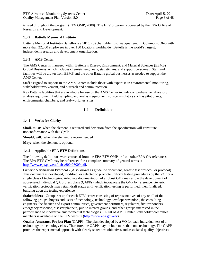is used throughout the program (ETV QMP, 2008). The ETV program is operated by the EPA Office of Research and Development.

# <span id="page-7-0"></span>**1.3.2 Battelle Memorial Institute**

Battelle Memorial Institute (Battelle) is a  $501(c)(3)$  charitable trust headquartered in Columbus, Ohio with more than 22,000 employees in over 130 locations worldwide. Battelle is the world's largest, independent research and development organization.

# <span id="page-7-1"></span>**1.3.3 AMS Center**

The AMS Center is managed within Battelle's Energy, Environment, and Material Sciences (EEMS) Global Business which includes chemists, engineers, statisticians, and support personnel. Staff and facilities will be drawn from EEMS and the other Battelle global businesses as needed to support the AMS Center.

Staff assigned to support in the AMS Center include those with expertise in environmental monitoring, stakeholder involvement, and outreach and communication.

<span id="page-7-2"></span>Key Battelle facilities that are available for use on the AMS Center include comprehensive laboratory analysis equipment, field sampling and analysis equipment, source simulators such as pilot plants, environmental chambers, and real-world test sites.

# **1.4 Definitions**

#### <span id="page-7-3"></span>**1.4.1 Verbs for Clarity**

**Shall, must**: when the element is required and deviation from the specification will constitute nonconformance with this QMP

**Should, will**: when the element is recommended

<span id="page-7-4"></span>**May**: when the element is optional.

# **1.4.2 Applicable EPA ETV Definitions**

The following definitions were extracted from the EPA ETV QMP or from other EPA QA references. The EPA ETV QMP may be referenced for a complete summary of general terms at [http://www.epa.gov/etv/pubs/600r08009.pdf.](http://www.epa.gov/etv/pubs/600r08009.pdf)

**Generic Verification Protocol** - (Also known as guideline document, generic test protocol, or protocol). This document is developed, modified, or selected to promote uniform testing procedures by the VO for a single class of technologies. Adequate documentation of a robust GVP may allow the development of abbreviated individual QA project plans (QAPPs) which incorporate the GVP by reference. Generic verification protocols may retain draft status until verification testing is performed, then finalized, building upon the testing experience.

**Stakeholders** - Groups set up for each ETV center consisting of representatives of any or all of the following groups: buyers and users of technology, technology developers/vendors, the consulting engineers, the finance and export communities, government permitters, regulators, first responders, emergency response, disaster planners, public interest groups, and other groups interested in the performance of innovative environmental technologies. A list of AMS Center Stakeholder committee members is available on the ETV website [\(http://www.epa.gov/etv\)](http://www.epa.gov/etv).

**Quality Assurance Project Plan** (QAPP) - The plan developed by a VO for each individual test of a technology or technology class. Therefore, the QAPP may include more than one technology. The QAPP provides the experimental approach with clearly stated test objectives and associated quality objectives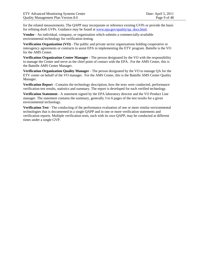for the related measurements. The QAPP may incorporate or reference existing GVPs or provide the basis for refining draft GVPs. Guidance may be found at www.epa.gov/quality/qa\_docs.html.

**Vendor** - An individual, company, or organization which submits a commercially-available environmental technology for verification testing.

**Verification Organization (VO)** - The public and private sector organizations holding cooperative or interagency agreements or contracts to assist EPA in implementing the ETV program. Battelle is the VO for the AMS Center.

**Verification Organization Center Manager** - The person designated by the VO with the responsibility to manage the Center and serve as the chief point of contact with the EPA. For the AMS Center, this is the Battelle AMS Center Manager.

**Verification Organization Quality Manager** - The person designated by the VO to manage QA for the ETV center on behalf of the VO manager. For the AMS Center, this is the Battelle AMS Center Quality Manager.

**Verification Report** - Contains the technology description, how the tests were conducted, performance verification test results, statistics and summary. The report is developed for each verified technology.

**Verification Statement** - A statement signed by the EPA laboratory director and the VO Product Line manager. The statement contains the summary, generally 3 to 6 pages of the test results for a given environmental technology.

**Verification Test** - The conducting of the performance evaluation of one or more similar environmental technologies that is documented in a single QAPP and in one or more verification statements and verification reports. Multiple verification tests, each with its own QAPP, may be conducted at different times under a single GVP.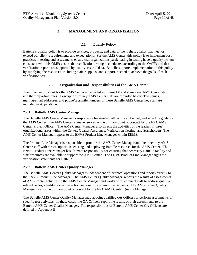# **2 MANAGEMENT AND ORGANIZATION**

# **2.1 Quality Policy**

<span id="page-9-1"></span><span id="page-9-0"></span>Battelle's quality policy is to provide services, products, and data of the highest quality that meet or exceed our client's requirements and expectations. For the AMS Center, this policy is to implement best practices in testing and assessment; ensure that organizations participating in testing have a quality system consistent with this QMP; ensure that verification testing is conducted according to the QAPP; and that verification reports are supported by quality-assured data. Battelle supports implementation of this policy by supplying the resources, including staff, supplies, and support, needed to achieve the goals of each verification test.

# **2.2 Organization and Responsibilities of the AMS Center**

<span id="page-9-2"></span>The organization chart for the AMS Center is provided in Figure 1.0 and shows key AMS Center staff and their reporting lines. Descriptions of key AMS Center staff are provided below. The names, mailing/email addresses, and phone/facsimile numbers of these Battelle AMS Center key staff are included in Appendix A.

#### <span id="page-9-3"></span>**2.2.1 Battelle AMS Center Manager**

The Battelle AMS Center Manager is responsible for meeting all technical, budget, and schedule goals for the AMS Center. The AMS Center Manager serves as the primary point of contact for the EPA AMS Center Project Officer. The AMS Center Manager also directs the activities of the leaders in three organizational areas within the Center: Quality Assurance, Verification Testing, and Stakeholders. The AMS Center Manager reports to the ENVS Product Line Manager within EEMS.

The Product Line Manager is responsible to provide the AMS Center Manager and the other key AMS Center staff with direct support in securing and deploying Battelle resources for the AMS Center. The ENVS Product Line Manager has ultimate responsibility for ensuring that necessary Battelle facility and staff resources are available to support the AMS Center. The ENVS Product Line Manager signs the verification statements for Battelle.

# <span id="page-9-4"></span>**2.2.2 Battelle AMS Center Quality Manager**

The Battelle AMS Center Quality Manager is independent of technical operations and reports directly to the ENVS Product Line Manager. The AMS Center Quality Manager reports the results of assessments of AMS Center activities to the AMS Center Manager and works with technical staff to address qualityrelated issues, identify corrective action and quality system improvements. The AMS Center Quality Manager is also the primary point of contact for the EPA AMS Center Quality Manager.

The Battelle AMS Center Quality Manager may appoint qualified QA Officers to perform assessments of specific test activities. In these cases, the QA Officers report the results of their assessments to the Battelle AMS Center Quality Manager. The responsibilities of Battelle AMS Center QA Officers are defined in Appendix B.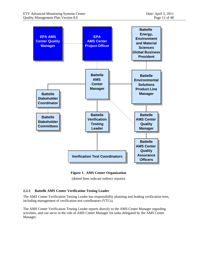

**Figure 1. AMS Center Organization** 

(dotted lines indicate indirect reports)

# <span id="page-10-1"></span><span id="page-10-0"></span>**2.2.3 Battelle AMS Center Verification Testing Leader**

The AMS Center Verification Testing Leader has responsibility planning and leading verification tests, including management of verification test coordinators (VTCs).

The AMS Center Verification Testing Leader reports directly to the AMS Center Manager regarding activities, and can serve in the role of AMS Center Manager for tasks delegated by the AMS Center Manager.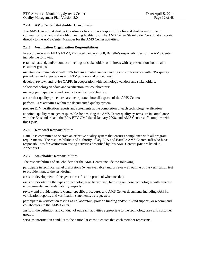# <span id="page-11-0"></span>**2.2.4 AMS Center Stakeholder Coordinator**

The AMS Center Stakeholder Coordinator has primary responsibility for stakeholder recruitment, communications, and stakeholder meeting facilitation. The AMS Center Stakeholder Coordinator reports directly to the AMS Center Manager for the AMS Center activities.

# <span id="page-11-1"></span>**2.2.5 Verification Organization Responsibilities**

In accordance with EPA's ETV QMP dated January 2008, Battelle's responsibilities for the AMS Center include the following:

establish, attend, and/or conduct meetings of stakeholder committees with representation from major customer groups;

maintain communication with EPA to assure mutual understanding and conformance with EPA quality procedures and expectations and ETV policies and procedures;

develop, review, and revise QAPPs in cooperation with technology vendors and stakeholders;

solicit technology vendors and verification test collaborators;

manage participation of and conduct verification activities;

assure that quality procedures are incorporated into all aspects of the AMS Center;

perform ETV activities within the documented quality system;

prepare ETV verification reports and statements at the completion of each technology verification;

appoint a quality manager, responsible for ensuring the AMS Center quality systems are in compliance with the E4 standard and the EPA ETV QMP dated January 2008, and AMS Center staff complies with this QMP.

# <span id="page-11-2"></span>**2.2.6 Key Staff Responsibilities**

Battelle is committed to operate an effective quality system that ensures compliance with all program requirements. The responsibilities and authority of key EPA and Battelle AMS Center staff who have responsibilities for verification testing activities described by this AMS Center QMP are listed in Appendix B.

# <span id="page-11-3"></span>**2.2.7 Stakeholder Responsibilities**

The responsibilities of stakeholders for the AMS Center include the following:

participate in technical panel discussions (when available) and/or review an outline of the verification test to provide input to the test design;

assist in development of the generic verification protocol when needed;

assist in prioritizing the types of technologies to be verified, focusing on these technologies with greatest environmental and sustainability impacts;

review and provide input to Center-specific procedures and AMS Center documents including QAPPs, verification reports, and verification statements, as requested;

participate in verification testing as collaborators, provide funding and/or in-kind support, or recommend collaborators to the AMS Center;

assist in the definition and conduct of outreach activities appropriate to the technology area and customer groups;

serve as information conduits to the particular constituencies that each member represents.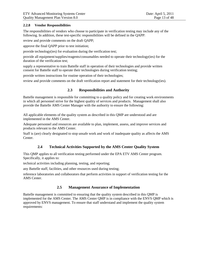#### <span id="page-12-0"></span>**2.2.8 Vendor Responsibilities**

The responsibilities of vendors who choose to participate in verification testing may include any of the following. In addition, these test-specific responsibilities will be defined in the QAPP:

review and provide comments on the draft QAPP;

approve the final QAPP prior to test initiation;

provide technology(ies) for evaluation during the verification test;

provide all equipment/supplies/reagents/consumables needed to operate their technology(ies) for the duration of the verification test;

supply a representative to train Battelle staff in operation of their technologies and provide written consent for Battelle staff to operate their technologies during verification testing;

provide written instructions for routine operation of their technologies;

<span id="page-12-1"></span>review and provide comments on the draft verification report and statement for their technology(ies).

# **2.3 Responsibilities and Authority**

Battelle management is responsible for committing to a quality policy and for creating work environments in which all personnel strive for the highest quality of services and products. Management shall also provide the Battelle AMS Center Manager with the authority to ensure the following:

All applicable elements of the quality system as described in this QMP are understood and are implemented in the AMS Center.

Adequate personnel and resources are available to plan, implement, assess, and improve services and products relevant to the AMS Center.

<span id="page-12-2"></span>Staff is (are) clearly designated to stop unsafe work and work of inadequate quality as affects the AMS Center.

# **2.4 Technical Activities Supported by the AMS Center Quality System**

This QMP applies to all verification testing performed under the EPA ETV AMS Center program. Specifically, it applies to:

technical activities including planning, testing, and reporting;

any Battelle staff, facilities, and other resources used during testing;

<span id="page-12-3"></span>reference laboratories and collaborators that perform activities in support of verification testing for the AMS Center.

# **2.5 Management Assurance of Implementation**

Battelle management is committed to ensuring that the quality system described in this QMP is implemented for the AMS Center. The AMS Center QMP is in compliance with the ENVS QMP which is approved by ENVS management. To ensure that staff understand and implement the quality system requirements: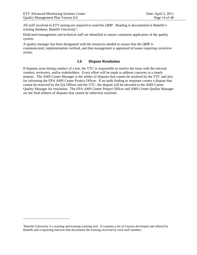$\overline{a}$ 

All staff involved in ETV testing are required to read this QMP. Reading is documented in Battelle's tr[a](#page-6-7)ining database, Battelle University<sup>a</sup>.

Dedicated management and technical staff are identified to ensure consistent application of the quality system.

<span id="page-13-0"></span>A quality manager has been designated with the resources needed to ensure that the QMP is communicated, implementation verified, and that management is appraised of issues requiring corrective action.

# **2.6 Dispute Resolution**

If disputes arise during conduct of a test, the VTC is responsible to resolve the issue with the relevant vendors, reviewers, and/or stakeholders. Every effort will be made to address concerns in a timely manner. The AMS Center Manager is the arbiter of disputes that cannot be resolved by the VTC and also for informing the EPA AMS Center Project Officer. If an audit finding or response creates a dispute that cannot be resolved by the QA Officer and the VTC, the dispute will be elevated to the AMS Center Quality Manager for resolution. The EPA AMS Center Project Officer and AMS Center Quality Manager are the final arbiters of disputes that cannot be otherwise resolved.

<span id="page-13-1"></span><sup>&</sup>lt;sup>a</sup>Battelle University is a training and training tracking tool. It contains a list of courses developed and offered by Battelle and a reporting function that documents the training received by each staff member.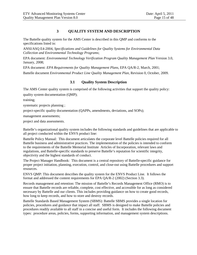# <span id="page-14-0"></span>**3 QUALITY SYSTEM AND DESCRIPTION**

The Battelle quality system for the AMS Center is described in this QMP and conforms to the specifications listed in:

ANSI/ASQ E4-2004, *Specifications and Guidelines for Quality Systems for Environmental Data Collection and Environmental Technology Programs*;

EPA document: *Environmental Technology Verification Program Quality Management Plan* Version 3.0, January, 2008;

<span id="page-14-1"></span>EPA document: *EPA Requirements for Quality Management Plans*, EPA QA/R-2, March, 2001; Battelle document *Environmental Product Line Quality Management Plan*, Revision 0, October, 2009.

# **3.1 Quality System Description**

The AMS Center quality system is comprised of the following activities that support the quality policy: quality system documentation (QMP);

training;

systematic projects planning ;

project-specific quality documentation (QAPPs, amendments, deviations, and SOPs);

management assessments;

project and data assessments.

Battelle's organizational quality system includes the following standards and guidelines that are applicable to all project conducted within the ENVS product line:

Battelle Policy Manual: This document articulates the corporate level Battelle policies required for all Battelle business and administrative practices. The implementation of the policies is intended to conform to the requirements of the Battelle Memorial Institute Articles of Incorporation, relevant laws and regulations, and Battelle-specific standards to preserve Battelle's reputation for scientific integrity, objectivity and the highest standards of conduct.

The Project Manager Handbook: This document is a central repository of Battelle-specific guidance for proper project initiation, planning, execution, control, and close-out using Battelle procedures and support resources.

ENVS QMP: This document describes the quality system for the ENVS Product Line. It follows the format and addressed the content requirements for EPA QA/R-2 (2002) (Section 3.3).

Records management and retention: The mission of Battelle's Records Management Office (RMO) is to ensure that Battelle records are reliable, complete, cost effective, and accessible for as long as considered necessary by Battelle and our clients. This includes providing guidance on how to create good records, how long to keep records, and how to store and destroy records.

Battelle Standards Based Management System (SBMS): Battelle SBMS provides a single location for policies, procedures and guidance that impact all staff. SBMS is designed to make Battelle policies and procedures readily available to all staff in a concise and useful form. It includes the following document types: procedure areas, policies, forms, supporting information, and management system descriptions.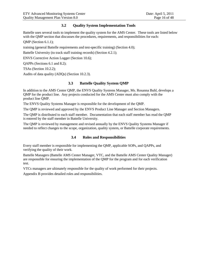# **3.2 Quality System Implementation Tools**

<span id="page-15-0"></span>Battelle uses several tools to implement the quality system for the AMS Center. These tools are listed below with the OMP section that discusses the procedures, requirements, and responsibilities for each:

QMP (Section 6.1.1);

training (general Battelle requirements and test-specific training) (Section 4.0);

Battelle University (to track staff training records) (Section 4.2.1);

ENVS Corrective Action Logger (Section 10.6);

QAPPs (Sections 6.1 and 8.2);

TSAs (Section 10.2.2);

<span id="page-15-1"></span>Audits of data quality (ADQs) (Section 10.2.3).

# **3.3 Battelle Quality System QMP**

In addition to the AMS Center QMP, the ENVS Quality Systems Manager, Ms. Rosanna Buhl, develops a QMP for the product line. Any projects conducted for the AMS Center must also comply with the product line QMP.

The ENVS Quality Systems Manager is responsible for the development of the QMP.

The QMP is reviewed and approved by the ENVS Product Line Manager and Section Managers.

The QMP is distributed to each staff member. Documentation that each staff member has read the QMP is entered by the staff member in Battelle University.

<span id="page-15-2"></span>The QMP is reviewed by management and revised annually by the ENVS Quality Systems Manager if needed to reflect changes to the scope, organization, quality system, or Battelle corporate requirements.

# **3.4 Roles and Responsibilities**

Every staff member is responsible for implementing the QMP, applicable SOPs, and QAPPs, and verifying the quality of their work.

Battelle Managers (Battelle AMS Center Manager, VTC, and the Battelle AMS Center Quality Manager) are responsible for ensuring the implementation of the QMP for the program and for each verification test.

VTCs managers are ultimately responsible for the quality of work performed for their projects.

Appendix B provides detailed roles and responsibilities.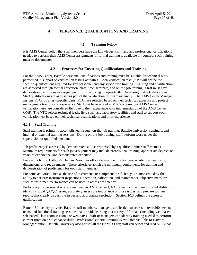# <span id="page-16-0"></span>**4 PERSONNEL QUALIFICATIONS AND TRAINING**

# **4.1 Training Policy**

<span id="page-16-2"></span><span id="page-16-1"></span>It is AMS Center policy that staff members have the knowledge, skill, and any professional certifications needed to perform their AMS Center assignments. If formal training is available or required, such training must be documented.

# **4.2 Processes for Ensuring Qualifications and Training**

For the AMS Center, Battelle personnel qualifications and training must be suitable for technical work performed in support of verification testing activities. Each verification test QAPP will define the specific qualifications required for key personnel and any specialized training. Training and qualification are achieved through formal education, class-time, seminars, and on-the-job training. Staff must have demonstrated ability in an assignment prior to working independently. Assessing Staff Qualifications Staff qualifications are assessed as part of the verification test team assembly. The AMS Center Manager assigns VTCs on a test-specific basis. VTCs are selected based on their technical expertise and project management training and experience. Staff that have served as VTCs on previous AMS Center verification tests are considered first due to their experience with implementation of the AMS Center QMP. The VTC selects technical leads, field staff, and laboratory facilities and staff to support each verification test based on their technical qualifications and prior experience.

# <span id="page-16-3"></span>**4.2.1 Staff Training**

Staff training is primarily accomplished through on-the-job training, Battelle University, seminars, and internal or external training sessions. During on-the-job training, staff perform work under the supervision of qualified personnel.

Job proficiency is assessed by demonstrated skill as witnessed by a qualified trainer/staff member. Minimum requirements for each job assignment may include professional training, appropriate degrees or years of experience, and demonstrated expertise.

For each job title, Battelle's Human Resources office defines the function, responsibilities, authority, dimensions, and requirements. These criteria establish the minimum requirements for training and demonstration of proficiency for each staff member.

For some activities, such as the use of instruments or equipment, proficiency is demonstrated by the ability to perform instrument inspections, operation, calibration, and maintenance; objective measures such as instrument performance can be used to assess proficiency.

Proficiency for personnel who are assigned as AMS Center QA Officers include: demonstrated ability to identify critical QA/QC issues, accurately assess the importance of those issues, and prepare written reports that clearly discuss the issues and appropriate resolution. Section 10.3 defines the assessor qualifications.

Battelle University provides Battelle staff members, managers, and leaders to access to over 260 personal, team, and functional training sessions that provide learning in a variety of formats (including web-based, self-paced, class room sessions, or webinars). Staff or managers can identify training needed to perform a current function or to enhance skills. Professional external training is available via links to Harvard ManageMentor. Battelle University also houses all the ENVS SOPs; staff can select and read SOPs that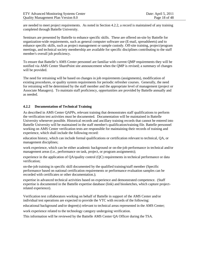are needed to meet project requirements. As noted in Section 4.2.2, a record is maintained of any training completed through Battelle University.

Seminars are presented by Battelle to enhance specific skills. These are offered on-site by Battelle for organization-wide requirements, such as general computer software use (E-mail, spreadsheets) and to enhance specific skills, such as project management or sample custody. Off-site training, project/program meetings, and technical society membership are available for specific disciplines contributing to the staff member's overall job proficiency.

To ensure that Battelle's AMS Center personnel are familiar with current QMP requirements they will be notified via AMS Center SharePoint site announcement when the QMP is revised; a summary of changes will be provided.

The need for retraining will be based on changes in job requirements (assignments), modification of existing procedures, or quality system requirements for periodic refresher courses. Generally, the need for retraining will be determined by the staff member and the appropriate level of management (project or Associate Managers). To maintain staff proficiency, opportunities are provided by Battelle annually and as needed.

#### <span id="page-17-0"></span>**4.2.2 Documentation of Technical Training**

As described in AMS Center QAPPs, relevant training that demonstrates staff qualifications to perform the verification test activities must be documented. Documentation will be maintained in Battelle University whenever possible. Historical records and ancillary training records that cannot be entered into Battelle University will be maintained in the staff member's qualification/training file. Battelle personnel working on AMS Center verification tests are responsible for maintaining their records of training and experience, which shall include the following record:

education history, which can include formal qualifications or certification relevant to technical, QA, or management disciplines;

work experience, which can be either academic background or on-the-job performance in technical and/or management areas (i.e., performance on task, project, or program assignments);

experience in the application of QA/quality control (QC) requirements in technical performance or data verification;

on-the-job training in specific skill documented by the qualified training/staff member (Specific performance based on national certification requirements or performance evaluation samples can be recorded with certificates or other documentation.);

expertise in advanced technical activities based on experience and demonstrated competence. (Staff expertise is documented in the Battelle expertise database (link) and biosketches, which capture projectrelated experience).

Verification test collaborators working on behalf of Battelle in support of the AMS Center and/or individual test operations are expected to provide the VTC with records of the following:

educational background and/or degree(s) relevant to technical areas represented in the AMS Center;

work experience related to the technology category undergoing verification.

This information will be reviewed by the Battelle AMS Center QA Officer during the TSA.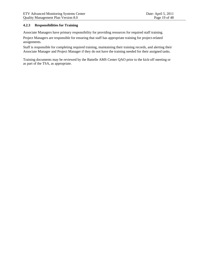#### <span id="page-18-0"></span>**4.2.3 Responsibilities for Training**

Associate Managers have primary responsibility for providing resources for required staff training.

Project Managers are responsible for ensuring that staff has appropriate training for project-related assignments.

Staff is responsible for completing required training, maintaining their training records, and alerting their Associate Manager and Project Manager if they do not have the training needed for their assigned tasks.

Training documents may be reviewed by the Battelle AMS Center QAO prior to the kick-off meeting or as part of the TSA, as appropriate.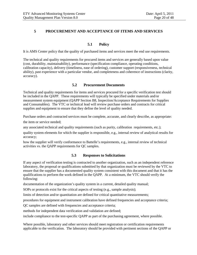# <span id="page-19-0"></span>**5 PROCUREMENT AND ACCEPTANCE OF ITEMS AND SERVICES**

# **5.1 Policy**

<span id="page-19-1"></span>It is AMS Center policy that the quality of purchased items and services meet the end use requirements.

The technical and quality requirements for procured items and services are generally based upon value (cost, durability, maintainability), performance (specification compliance, operating conditions, calibration capacity), delivery (timeliness, ease of ordering), customer support (responsiveness, technical ability), past experience with a particular vendor, and completeness and coherence of instructions (clarity, accuracy).

# **5.2 Procurement Documents**

<span id="page-19-2"></span>Technical and quality requirements for items and services procured for a specific verification test should be included in the QAPP. These requirements will typically be specified under materials and/or measurement system equipment (QAPP Section B8, Inspection/Acceptance Requirements for Supplies and Consumables). The VTC or technical lead will review purchase orders and contracts for critical supplies and equipment to ensure that they define the level of quality needed.

Purchase orders and contracted services must be complete, accurate, and clearly describe, as appropriate: the item or service needed;

any associated technical and quality requirements (such as purity, calibration requirements, etc.);

quality system elements for which the supplier is responsible, e.g., internal review of analytical results for accuracy;

<span id="page-19-3"></span>how the supplier will verify conformance to Battelle's requirements, e.g., internal review of technical activities vs. the QAPP requirements for QC samples.

# **5.3 Responses to Solicitations**

If any aspect of verification testing is contracted to another organization, such as an independent reference laboratory, the proposal or qualifications submitted by that organization must be reviewed by the VTC to ensure that the supplier has a documented quality system consistent with this document and that it has the qualifications to perform the work defined in the QAPP. At a minimum, the VTC should verify the following:

documentation of the organization's quality system in a current, detailed quality manual;

SOPs or protocols exist for the critical aspects of testing (e.g., sample analysis);

limits of detection and/or quantitation are defined for critical quantitative measurements;

procedures for equipment and instrument calibration have defined frequencies and acceptance criteria;

QC samples are defined with frequencies and acceptance criteria;

methods for independent data verification and validation are defined;

include compliance to the test-specific QAPP as part of the purchasing agreement, where possible.

Where possible, laboratory and other services should meet registration or certification requirements applicable to the verification. The laboratory should be provided with pertinent sections of the QAPP or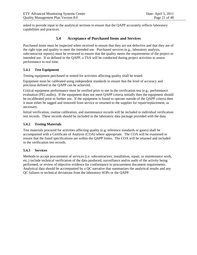<span id="page-20-0"></span>asked to provide input to the analytical sections to ensure that the QAPP accurately reflects laboratory capabilities and practices.

# **5.4 Acceptance of Purchased Items and Services**

Purchased items must be inspected when received to ensure that they are not defective and that they are of the right type and quality to meet the intended use. Purchased services (e.g., laboratory analysis, subcontractor reports) must be reviewed to ensure that the quality meets the requirements of the project or intended use. If so defined in the QAPP, a TSA will be conducted during project activities to assess performance in real time.

# <span id="page-20-1"></span>**5.4.1 Test Equipment**

Testing equipment purchased or rented for activities affecting quality shall be tested.

Equipment must be calibrated using independent standards to ensure that the level of accuracy and precision defined in the QAPP can be achieved.

Critical equipment performance must be verified prior to use in the verification test (e.g., performance evaluation [PE] audits). If the equipment does not meet QAPP criteria initially then the equipment should be recalibrated prior to further use. If the equipment is found to operate outside of the QAPP criteria then it must either be tagged and removed from service or returned to the supplier for repair/replacement, as necessary.

Initial verification, routine calibration, and maintenance records will be included in individual verification test records. These records should be included in the laboratory data package provided with the data.

# <span id="page-20-2"></span>**5.4.2 Testing Materials**

Test materials procured for activities affecting quality (e.g. reference standards or gases) shall be accompanied with a Certificate of Analysis (COA) where appropriate. The COA will be examined to ensure that the listed specifications are within the QAPP limits. The COA will be retained and included in the verification test records.

# <span id="page-20-3"></span>**5.4.3 Services**

Methods to accept procurement of services (i.e. subcontractors, installation, repair, or maintenance work, etc.) include technical verification of the data produced, surveillance and/or audit of the activity being performed, or review of objective evidence for conformance to procurement document requirements. Analytical data should be accompanied by a QC narrative that summarizes the analytical results and any QC failures or technical deviations from the laboratory SOPs or the QAPP.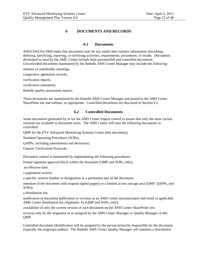# **6 DOCUMENTS AND RECORDS**

# **6.1 Documents**

<span id="page-21-1"></span><span id="page-21-0"></span>ANSI/ASQ E4-2004 states that documents may be any media that contains information describing, defining, specifying, reporting, or certifying activities, requirements, procedures, or results. Documents developed or used by the AMC Center include both uncontrolled and controlled documents. Uncontrolled documents maintained by the Battelle AMS Center Manager may include the following:

minutes of stakeholder meetings;

cooperative agreement records;

verification reports;

verification statements;

Battelle quality assessment reports.

<span id="page-21-2"></span>These documents are maintained by the Battelle AMS Center Manager and posted to the AMS Center SharePoint site and website, as appropriate. Controlled documents are discussed in Section 6.2.

#### **6.2 Controlled Documents**

Some documents generated by or for the AMS Center require control to ensure that only the most current versions are available to document users. The AMS Center will treat the following documents as controlled:

QMP for the ETV Advanced Monitoring Systems Center (this document);

Standard Operating Procedures (SOPs);

QAPPs, including amendments and deviations;

Generic Verification Protocols.

Document control is maintained by implementing the following procedures:

formal signature approval block within the document (QMP and SOPs, only);

an effective date;

a pagination system;

a specific version number or designation as a permanent part of the document;

retention of the document with original signed page(s) in a limited access storage area (QMP, QAPPs, and SOPs);

a distribution list;

notification of document publication or revision as an AMS Center announcement and email to applicable AMS Center distribution list (Appendix A) (QMP and SOPs, only);

availability of only the current version of each document on the AMS Center SharePoint site;

revision only by the originator or as assigned by the AMS Center Manager or Quality Manager or this QMP.

Controlled document identification will be assigned by the person primarily responsible for the document (typically the originator/author). The Battelle AMS Center Quality Manager will maintain a distribution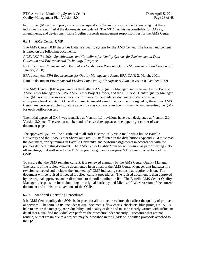list for the QMP and any program or project-specific SOPs and is responsible for ensuring that these individuals are notified if the documents are updated. The VTC has this responsibility for QAPPs, amendments, and deviations. Table 1 defines records management responsibilities for the AMS Center.

# <span id="page-22-0"></span>**6.2.1 AMS Center QMP**

The AMS Center QMP describes Battelle's quality system for the AMS Center. The format and content is based on the following documents:

ANSI/ASQ E4-2004, *Specifications and Guidelines for Quality Systems for Environmental Data Collection and Environmental Technology Programs*;

EPA document: *Environmental Technology Verification Program Quality Management Plan* Version 3.0, January, 2008;

EPA document: *EPA Requirements for Quality Management Plans*, EPA QA/R-2, March, 2001; Battelle document *Environmental Product Line Quality Management Plan*, Revision 0, October, 2009.

The AMS Center QMP is prepared by the Battelle AMS Quality Manager, and reviewed by the Battelle AMS Center Manager, the EPA AMS Center Project Officer, and the EPA AMS Center Quality Manager. The QMP review assesses accuracy, conformance to the guidance documents listed above, and appropriate level of detail. Once all comments are addressed, the document is signed by these four AMS Center key personnel. The signature page indicates consensus and commitment to implementing the QMP for each verification test.

The initial approved QMP was identified as Version 1.0; revisions have been designated as Version 2.0, Version 3.0, etc. The version number and effective date appear on the upper right corner of each document page.

The approved QMP will be distributed to all staff electronically via e-mail with a link to Battelle University and the AMS Center SharePoint site. All staff listed in the distribution (Appendix B) must read the document, verify training in Battelle University, and perform assignments in accordance with the policies defined in this document. The AMS Center Quality Manager will ensure, as part of testing kickoff meetings, that staff new to the ETV program (e.g., newly assigned VTCs) are directed to read the QMP.

To ensure that the QMP remains current, it is reviewed annually by the AMS Center Quality Manager. The results of the review will be documented in an email to the AMS Center Manager that indicates if a revision is needed and includes the "marked up" QMP indicating sections that require revision. The document will be revised if needed to reflect current procedures. The revised document is then approved by the original approvers, and redistributed to the full distribution list. The Battelle AMS Center Quality Manager is responsible for maintaining the original hardcopy and Microsoft® Word version of the current document and all historical versions of the QMP.

# <span id="page-22-1"></span>**6.2.2 Standard Operating Procedures**

It is AMS Center policy that SOPs be in place for all routine procedures that affect the quality of products or services. The term "SOP" includes textual documents, flow-charts, checklists, blue prints, etc. SOPs help to ensure the integrity, reproducibility, and quality of data and must be clearly written with sufficient detail that a qualified individual can perform the procedure independently. Procedures that are not routine, or that are unique to a project, may be described in the QAPP or in written protocols attached to the QAPP.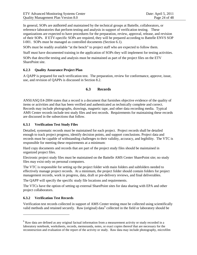In general, SOPs are authored and maintained by the technical groups at Battelle, collaborators, or reference laboratories that perform testing and analysis in support of verification testing. These organizations are expected to have procedures for the preparation, review, approval, release, and revision of their SOPs. If ETV-specific SOPs are required, they will be prepared according to Battelle ENVS SOP I-001. SOPs must be managed as controlled documents (Section 6.1).

SOPs must be readily available "at the bench" to project staff who are expected to follow them.

Staff must have documented training in the application of SOPs they will implement for testing activities.

SOPs that describe testing and analysis must be maintained as part of the project files on the ETV SharePoint site.

# <span id="page-23-0"></span>**6.2.3 Quality Assurance Project Plan**

<span id="page-23-1"></span>A QAPP is prepared for each verification test. The preparation, review for conformance, approve, issue, use, and revision of QAPPs is discussed in Section 8.2.

# **6.3 Records**

ANSI/ASQ E4-2004 states that a record is a document that furnishes objective evidence of the quality of items or activities and that has been verified and authenticated as technically complete and correct. Records may include photographs, drawings, magnetic tape, and other data recording media. Typical AMS Center records include test study files and test records. Requirements for maintaining these records are discussed in the subsections that follow.

# <span id="page-23-2"></span>**6.3.1 Verification Test Study Files**

Detailed, systematic records must be maintained for each project. Project records shall be detailed enough to track project progress, identify decision points, and support conclusions. Project data and records must be capable of withstanding challenges to their validity, accuracy, and legibility. The VTC is responsible for meeting these requirements at a minimum:

Hard copy documents and records that are part of the project study files should be maintained in organized project files.

Electronic project study files must be maintained on the Battelle AMS Center SharePoint site; no study files may exist only on personal computers.

The VTC is responsible for setting up the project folder with main folders and subfolders needed to effectively manage project records. At a minimum, the project folder should contain folders for project management records, work in progress, data, draft or pre-delivery reviews, and final deliverables.

The QAPP will specify the specific study file locations and requirements.

The VTCs have the option of setting up external SharePoint sites for data sharing with EPA and other project collaborators.

# <span id="page-23-3"></span>**6.3.2 Verification Test Records**

 $\overline{a}$ 

Verification test records collected in support of AMS Center testing must be collected using scientifically valid methods and retained securely. Raw (original) data<sup>[b](#page-13-1)</sup> collected in the field or laboratory should be

<span id="page-23-4"></span><sup>&</sup>lt;sup>b</sup> Raw data are defined as any original factual information from a measurement activity or study recorded in a laboratory notebook, worksheets, records, memoranda, notes, or exact copies thereof that are necessary for the reconstruction and evaluation of the report of the activity or study. Raw data may include photography, microfilm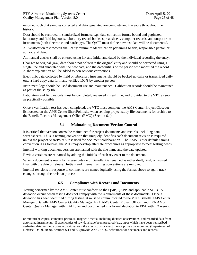$\overline{a}$ 

recorded such that samples collected and data generated are complete and traceable throughout their history.

Data should be recorded in standardized formats, e.g., data collection forms, bound and paginated laboratory and field logbooks, laboratory record books, spreadsheets, computer records, and output from instruments (both electronic and hardcopy). The QAPP must define how test data will be documented.

All verification test records shall carry minimum identification pertaining to title, responsible person or author, and date.

All manual entries shall be entered using ink and initial and dated by the individual recording the entry.

Changes to original (raw) data should not obliterate the original entry and should be corrected using a single line and annotated with the new data, and the date/initials of the person who modified the record. A short explanation will be added to non-obvious corrections.

Electronic data collected by field or laboratory instruments should be backed up daily or transcribed daily onto a hard copy data form and verified 100% by another person.

Instrument logs should be used document use and maintenance. Calibration records should be maintained as part of the study file.

Laboratory and field records must be completed, reviewed in real time, and provided to the VTC as soon as practically possible.

<span id="page-24-0"></span>Once a verification test has been completed, the VTC must complete the AMS Center Project Closeout list located on the AMS Center SharePoint site when sending project study file documents for archive to the Battelle Records Management Office (RMO) (Section 6.4).

# **6.4 Maintaining Document Version Control**

It is critical that version control be maintained for project documents and records, including data spreadsheets. Thus, a naming convention that uniquely identifies each document revision is required unless the project SharePoint site is used for document collaboration. The AMS Center default naming convention is as follows; the VTC may develop alternate procedures as appropriate to meet testing needs:

Internal working document versions are named with the file name and the date updated.

Review versions are re-named by adding the initials of each reviewer to the document.

When a document is ready for release outside of Battelle it is renamed as either draft, final, or revised final with the date of release. Initials and internal naming conventions are removed

<span id="page-24-1"></span>Internal revisions in response to comments are named logically using the format above to again track changes through the revision process.

# **6.5 Compliance with Records and Documents**

Testing performed by the AMS Center must conform to the QMP, QAPP, and applicable SOPs. A deviation occurs when testing does not comply with the requirements of these documents. Once a deviation has been identified during testing, it must be communicated to the VTC, Battelle AMS Center Manager, Battelle AMS Center Quality Manager, EPA AMS Center Project Officer, and EPA AMS Center Quality Manager within 24 hours and documented in a formal deviation to EPA within 2 weeks.

or microfiche copies, computer printouts, magnetic media, including dictated observations, and recorded data from automated instruments. If exact copies of raw data have been prepared (e.g., tapes which have been transcribed verbatim, data verified accurate by signature), the exact copy or exact transcript may be submitted (Department of Defense [DoD], 2009). Sections 6.1 and 6.3 provide ANSI/ASQC definitions for documents and records.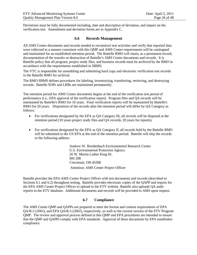<span id="page-25-0"></span>Deviations must be fully documented including, date and description of deviation, and impact on the verification test. Amendment and deviation forms are in Appendix C.

# **6.6 Records Management**

All AMS Center documents and records needed to reconstruct test activities and verify that reported data were collected in a manner consistent with this QMP and AMS Center requirements will be catalogued and maintained for an established retention period. The Battelle RMO will retain, as a permanent record, documentation of the transfer or destruction of Battelle's AMS Center documents and records. It is Battelle policy that all program, project study files, and business records must be archived by the RMO in accordance with the requirements established in SBMS.

The VTC is responsible for assembling and submitting hard copy and electronic verification test records to the Battelle RMO for archival.

The RMO SBMS defines procedures for labeling, inventorying, transferring, retrieving, and destroying records. Battelle SOPs and LRBs are maintained permanently.

The retention period for AMS Center documents begins at the end of the verification test period of performance (i.e., EPA approval of the verification report). Program files and QA records will be maintained by Battelle's RMO for 10 years. Final verification reports will be maintained by Battelle's RMO for 20 years. Disposition of the records after the retention period will differ by QA Category as follows:

- For verifications designated by the EPA as QA Category III, all records will be disposed at the retention period (10 years project study files and QA records; 20 years for reports).
- For verifications designated by the EPA as OA Category II, all records held by the Battelle RMO will be submitted to the US EPA at the end of the retention period. Battelle will ship the records to the following address:

Andrew W. Breidenbach Environmental Research Center U.S. Environmental Protection Agency 26 W. Martin Luther King Dr. MS 208 Cincinnati, OH 45268 Attention: AMS Center Project Officer

Battelle provides the EPA AMS Center Project Officer with test documents and records (described in Sections 6.1 and 6.2) throughout testing. Battelle provides electronic copies of the QAPP and reports for the EPA AMS Center Project Officer to upload to the ETV website. Battelle also uploads QA audit reports to the ETV database. Additional documents and records will be provided to AMS upon request.

# **6.7 Compliance**

<span id="page-25-1"></span>The AMS Center QMP and QAPPs are prepared to meet the format and content requirements of EPA QA/R-2 (2001), and EPA QA/R-5 (2002), respectively, as well as the current version of the ETV Program QMP. The review and approval process defined in this QMP and EPA procedures are intended to ensure that the QMP and QAPPs comply with EPA standards. Approval of these documents by EPA establishes compliance.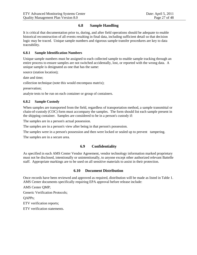# **6.8 Sample Handling**

<span id="page-26-0"></span>It is critical that documentation prior to, during, and after field operations should be adequate to enable historical reconstruction of all events resulting in final data, including sufficient detail so that decision logic may be traced. Unique sample numbers and rigorous sample transfer procedures are key to data traceability.

#### <span id="page-26-1"></span>**6.8.1 Sample Identification Numbers**

Unique sample numbers must be assigned to each collected sample to enable sample tracking through an entire process to ensure samples are not switched accidentally, lost, or reported with the wrong data. A unique sample is designated as one that has the same:

source (station location);

date and time;

collection technique (note this would encompass matrix);

preservation;

<span id="page-26-2"></span>analyte tests to be run on each container or group of containers.

#### **6.8.2 Sample Custody**

When samples are transported from the field, regardless of transportation method, a sample transmittal or chain-of-custody (COC) form must accompany the samples. The form should list each sample present in the shipping container. Samples are considered to be in a person's custody if:

The samples are in a person's actual possession.

The samples are in a person's view after being in that person's possession.

The samples were in a person's possession and then were locked or sealed up to prevent tampering.

<span id="page-26-3"></span>The samples are in a secure area.

# **6.9 Confidentiality**

<span id="page-26-4"></span>As specified in each AMS Center Vendor Agreement, vendor technology information marked proprietary must not be disclosed, intentionally or unintentionally, to anyone except other authorized relevant Battelle staff. Appropriate markings are to be used on all sensitive materials to assist in their protection.

#### **6.10 Document Distribution**

Once records have been reviewed and approved as required, distribution will be made as listed in Table 1. AMS Center documents specifically requiring EPA approval before release include:

AMS Center QMP;

Generic Verification Protocols;

QAPPs;

ETV verification reports;

ETV verification statements.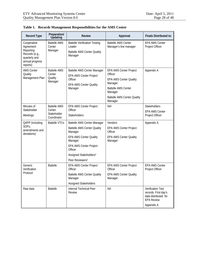| <b>Record Type</b>                                                                                      | Preparation/<br>Updating                                    | <b>Review</b>                                                                                                                                                                                                                             | Approval                                                                                                                                                                       | <b>Finals Distributed to:</b>                                                                               |
|---------------------------------------------------------------------------------------------------------|-------------------------------------------------------------|-------------------------------------------------------------------------------------------------------------------------------------------------------------------------------------------------------------------------------------------|--------------------------------------------------------------------------------------------------------------------------------------------------------------------------------|-------------------------------------------------------------------------------------------------------------|
| Cooperative<br>Agreement<br>Reporting<br>Records (e.g.,<br>quarterly and<br>annual progress<br>reports) | <b>Battelle AMS</b><br>Center<br>Manager                    | <b>Battelle Verification Testing</b><br>Leader<br><b>Battelle AMS Center Quality</b><br>Manager                                                                                                                                           | <b>Battelle AMS Center</b><br>Manager's line manager                                                                                                                           | <b>EPA AMS Center</b><br>Project Officer                                                                    |
| <b>AMS Center</b><br>Quality<br>Management Plan                                                         | <b>Battelle AMS</b><br>Center<br>Quality<br>Manager         | <b>Battelle AMS Center Manager</b><br><b>EPA AMS Center Project</b><br>Officer<br><b>EPA AMS Center Quality</b><br>Manager                                                                                                                | <b>EPA AMS Center Project</b><br>Officer<br><b>EPA AMS Center Quality</b><br>Manager<br><b>Battelle AMS Center</b><br>Manager<br><b>Battelle AMS Center Quality</b><br>Manager | Appendix A                                                                                                  |
| Minutes of<br>Stakeholder<br>Meetings                                                                   | <b>Battelle AMS</b><br>Center<br>Stakeholder<br>Coordinator | <b>EPA AMS Center Project</b><br>Officer<br>Stakeholders                                                                                                                                                                                  | NA <sup>1</sup>                                                                                                                                                                | Stakeholders<br><b>EPA AMS Center</b><br>Project Officer                                                    |
| QAPP (including<br>SOPs,<br>amendments and<br>deviations)                                               | <b>Battelle VTCs</b>                                        | Battelle AMS Center Manager<br><b>Battelle AMS Center Quality</b><br>Manager<br><b>EPA AMS Center Quality</b><br>Manager<br><b>EPA AMS Center Project</b><br>Officer<br>Assigned Stakeholders <sup>2</sup><br>Peer Reviewers <sup>2</sup> | Vendors<br><b>EPA AMS Center Project</b><br>Officer<br><b>EPA AMS Center Quality</b><br>Manager                                                                                | Appendix A                                                                                                  |
| Generic<br>Verification<br>Protocol                                                                     | <b>Battelle</b>                                             | <b>EPA AMS Center Project</b><br>Officer<br><b>Battelle AMS Center Quality</b><br>Manager<br>Assigned Stakeholders                                                                                                                        | <b>EPA AMS Center Project</b><br>Officer<br>EPA AMS Center Quality<br>Manager                                                                                                  | <b>EPA AMS Center</b><br>Project Officer                                                                    |
| Raw data                                                                                                | <b>Battelle</b>                                             | <b>Internal Technical Peer</b><br>Review                                                                                                                                                                                                  | <b>NA</b>                                                                                                                                                                      | <b>Verification Test</b><br>records. First day's<br>data distributed for<br><b>EPA Review</b><br>Appendix A |

<span id="page-27-0"></span>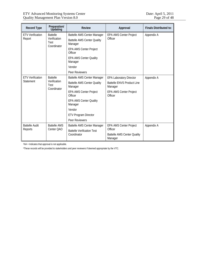| <b>Record Type</b>                   | Preparation/<br>Updating                               | <b>Review</b>                                                                                                                                                                                                                   | Approval                                                                                                                   | <b>Finals Distributed to:</b> |
|--------------------------------------|--------------------------------------------------------|---------------------------------------------------------------------------------------------------------------------------------------------------------------------------------------------------------------------------------|----------------------------------------------------------------------------------------------------------------------------|-------------------------------|
| <b>ETV Verification</b><br>Report    | <b>Battelle</b><br>Verification<br>Test<br>Coordinator | <b>Battelle AMS Center Manager</b><br><b>Battelle AMS Center Quality</b><br>Manager<br><b>EPA AMS Center Project</b>                                                                                                            | <b>EPA AMS Center Project</b><br>Officer                                                                                   | Appendix A                    |
|                                      |                                                        | Officer<br><b>EPA AMS Center Quality</b><br>Manager                                                                                                                                                                             |                                                                                                                            |                               |
|                                      |                                                        | Vendor<br>Peer Reviewers                                                                                                                                                                                                        |                                                                                                                            |                               |
| <b>ETV Verification</b><br>Statement | <b>Battelle</b><br>Verification<br>Test<br>Coordinator | Battelle AMS Center Manager<br><b>Battelle AMS Center Quality</b><br>Manager<br><b>EPA AMS Center Project</b><br>Officer<br><b>EPA AMS Center Quality</b><br>Manager<br>Vendor<br><b>ETV Program Director</b><br>Peer Reviewers | <b>EPA Laboratory Director</b><br><b>Battelle ENVS Product Line</b><br>Manager<br><b>EPA AMS Center Project</b><br>Officer | Appendix A                    |
| <b>Battelle Audit</b><br>Reports     | <b>Battelle AMS</b><br>Center QAO                      | Battelle AMS Center Manager<br><b>Battelle Verification Test</b><br>Coordinator                                                                                                                                                 | <b>EPA AMS Center Project</b><br>Officer<br><b>Battelle AMS Center Quality</b><br>Manager                                  | Appendix A                    |

1NA = Indicates that approval is not applicable.

2These records will be provided to stakeholders and peer reviewers if deemed appropriate by the VTC.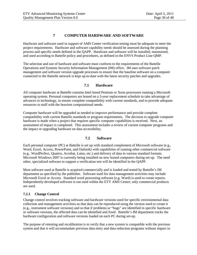# **7 COMPUTER HARDWARE AND SOFTWARE**

<span id="page-29-0"></span>Hardware and software used in support of AMS Center verification testing must be adequate to meet the project requirements. Hardware and software capability needs should be assessed during the planning process and specific needs defined in the QAPP. Hardware and software will be installed, maintained, and used according to Battelle policy and procedures, as defined in the ENVS Product Line QMP.

The selection and use of hardware and software must conform to the requirements of the Battelle Operations and Systems Security Information Management (IM) office. IM uses software patch management and software version upgrade processes to ensure that the baseline software on a computer connected to the Battelle network is kept up-to-date with the latest security patches and upgrades.

# **7.1 Hardware**

<span id="page-29-1"></span>All computer hardware at Battelle contains Intel based Pentium or Xeon processors running a Microsoft operating system. Personal computers are leased on a 3-year replacement schedule to take advantage of advances in technology, to ensure complete compatibility with current standards, and to provide adequate resources to staff with the heaviest computational needs.

Computer hardware will be upgraded as needed to improve performance and provide complete compatibility with current Battelle standards or program requirements. The decision to upgrade computer hardware is made when a project that requires specific computer capabilities is received. Next, an assessment of impact is completed. This assessment includes a review of current computer programs and the impact or upgrading hardware on data accessibility.

# **7.2 Software**

<span id="page-29-2"></span>Each personal computer (PC) at Battelle is set up with standard complement of Microsoft software (e.g., Word, Excel, Access, PowerPoint, and Outlook) with capabilities of running other commercial software (e.g., WordPerfect, Quattro, Acrobat, Lotus, etc.) and delivery of data in various standard formats. Microsoft Windows 2007 is currently being installed on new leased computers during set-up. The need other, specialized software to support a verification test will be identified in the QAPP.

Most software used at Battelle is acquired commercially and is loaded and tested by Battelle's IM department as specified by the publisher. Software used for data management activities may include Microsoft Excel or Access. Standard word processing software (e.g. Word) is used to create reports. Independently-developed software is not used within the ETV AMS Center; only commercial products are used.

# <span id="page-29-3"></span>**7.2.1 Change Control**

Change control involves tracking software and hardware versions used for specific environmental data collection and management activities so that data can be reproduced using the version used to create it (e.g., instrument software versions) and so that if problems or "bugs" are identified in specific hardware or software versions, the affected data can be identified and fixed. Battelle's IM department tracks the hardware configuration and software versions loaded on each PC during set-up.

The purpose of retesting and recalibration is to verify that a new system is compatible with the previous system and that it will accommodate previous data entry and data reduction programs without impact to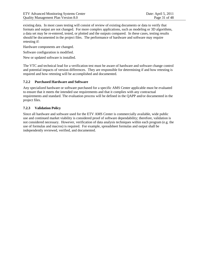existing data. In most cases testing will consist of review of existing documents or data to verify that formats and output are not changed. For more complex applications, such as modeling or 3D algorithms, a data set may be re-entered, tested, or plotted and the outputs compared. In these cases, testing results should be documented in the project files. The performance of hardware and software may require retesting if:

Hardware components are changed.

Software configuration is modified.

New or updated software is installed.

The VTC and technical lead for a verification test must be aware of hardware and software change control and potential impacts of version differences. They are responsible for determining if and how retesting is required and how retesting will be accomplished and documented.

#### <span id="page-30-0"></span>**7.2.2 Purchased Hardware and Software**

Any specialized hardware or software purchased for a specific AMS Center applicable must be evaluated to ensure that it meets the intended use requirements and that it complies with any contractual requirements and standard. The evaluation process will be defined in the QAPP and/or documented in the project files.

# <span id="page-30-1"></span>**7.2.3 Validation Policy**

Since all hardware and software used for the ETV AMS Center is commercially available, wide public use and continued market viability is considered proof of software dependability; therefore, validation is not considered necessary. However, verification of data analysis techniques within each program (e.g. the use of formulas and macros) is required. For example, spreadsheet formulas and output shall be independently reviewed, verified, and documented.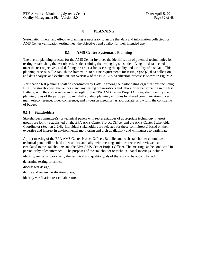# **8 PLANNING**

<span id="page-31-1"></span><span id="page-31-0"></span>Systematic, timely, and effective planning is necessary to assure that data and information collected for AMS Center verification testing meet the objectives and quality for their intended use.

# **8.1 AMS Center Systematic Planning**

The overall planning process for the AMS Center involves the identification of potential technologies for testing, establishing the test objectives, determining the testing logistics, identifying the data needed to meet the test objectives, and defining the criteria for assessing the quality and usability of test data. This planning process will establish the framework to define requirements for testing QA/QC, data collection, and data analysis and evaluation. An overview of the EPA ETV verification process is shown in Figure 2.

Verification test planning shall be coordinated by Battelle among the participating organizations including EPA, the stakeholders, the vendors, and any testing organizations and laboratories participating in the test. Battelle, with the concurrence and oversight of the EPA AMS Center Project Officer, shall identify the planning roles of the participants, and shall conduct planning activities by shared communication via email, teleconference, video conference, and in-person meetings, as appropriate, and within the constraints of budget.

# <span id="page-31-2"></span>**8.1.1 Stakeholders**

Stakeholder committee(s) or technical panels with representatives of appropriate technology interest groups are jointly established by the EPA AMS Center Project Officer and the AMS Center Stakeholder Coordinator (Section 2.2.4). Individual stakeholders are selected for these committee(s) based on their expertise and interest in environmental monitoring and their availability and willingness to participate.

A joint meeting of the EPA AMS Center Project Officer, Battelle, and each stakeholder committee or technical panel will be held at least once annually, with meetings minutes recorded, reviewed, and circulated to the stakeholders and the EPA AMS Center Project Officer. The meeting can be conducted in person or by teleconference. The purposes of the stakeholder or technical panel meetings include:

identify, revise, and/or clarify the technical and quality goals of the work to be accomplished;

determine testing priorities;

discuss test design;

define and review verification plans;

identify verification test collaborators.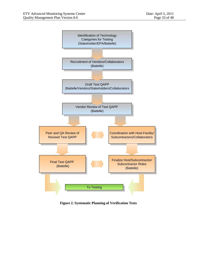

<span id="page-32-0"></span>**Figure 2. Systematic Planning of Verification Tests**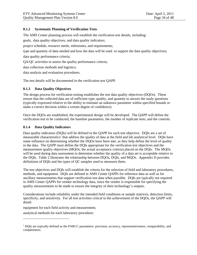# <span id="page-33-0"></span>**8.1.2 Systematic Planning of Verification Tests**

The AMS Center planning process will establish the verification test details, including:

goals, data quality objectives, and data quality indicators;

project schedule, resource needs, milestones, and requirements;

type and quantity of data needed and how the data will be used to support the data quality objectives;

data quality performance criteria;

QA/QC activities to assess the quality performance criteria;

data collection methods and logistics;

data analysis and evaluation procedures.

<span id="page-33-1"></span>The test details will be documented in the verification test QAPP.

# **8.1.3 Data Quality Objectives**

The design process for verification testing establishes the test data quality objectives (DQOs). These ensure that the collected data are of sufficient type, quality, and quantity to answer the study questions (typically expressed relative to the ability to estimate an unknown parameter within specified bounds or make a correct decision within a certain degree of confidence).

Once the DQOs are established, the experimental design will be developed. The QAPP will define the verification test to be conducted, the baseline parameters, the number of replicate tests, and the controls.

#### <span id="page-33-2"></span>**8.1.4 Data Quality Indicators**

Data quality indicators (DQIs) will be defined in the QAPP for each test objective. DQIs are a set of measurable [c](#page-23-4)haracteristics<sup>c</sup> that address the quality of data at the field and lab analytical level. DQIs have some influence on determining whether the DQOs have been met, as they help define the level of quality in the data. The QAPP must define the DQIs appropriate for the verification test objectives and the measurement quality objectives (MQOs; the actual acceptance criteria) placed on the DQIs. The MQOs will be used during data assessment to determine whether the quality of a data set is acceptable relative to the DQIs. Table 2 illustrates the relationship between DQOs, DQIs, and MQOs. Appendix D provides definitions of DQIs and the types of QC samples used to measures them.

The test objectives and DQIs will establish the criteria for the selection of field and laboratory procedures, methods, and equipment. DQIs are defined in AMS Center QAPPs for reference data as well as for ancillary measurements that support verification test data when possible. DQIs are typically not required in AMS Center QAPPs for vendor technology data, since the vendor is responsible for specifying the quality measurements to be made to ensure the integrity of their technology's outputs.

Considerations include reliability under the intended field conditions or sample matrices, detection limits, specificity, and sensitivity. For all test activities critical to the achievement of the DQOs, the QAPP will detail:

equipment for each field activity and measurement;

analytical methods for each laboratory procedure;

 $\overline{a}$ 

<sup>c</sup> DQIs are typically defined as the PARCC parameters: precision, accuracy, representativeness, comparability, and completeness.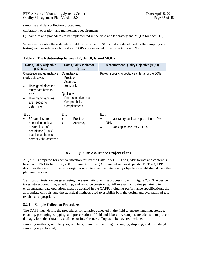sampling and data collection procedures;

calibration, operation, and maintenance requirements;

QC samples and procedures to be implemented in the field and laboratory and MQOs for each DQI.

Whenever possible these details should be described in SOPs that are developed by the sampling and testing team or reference laboratory. SOPs are discussed in Sections 6.1.2 and 9.2.

<span id="page-34-2"></span>**Table 2. The Relationship between DQOs, DQIs, and MQOs**

| Data Quality Objective<br>(DQO) $\rightarrow$                                                                                                          | <b>Data Quality Indicator</b><br>$(DQI) \rightarrow$                                                                         | <b>Measurement Quality Objective (MQO)</b>                                                      |
|--------------------------------------------------------------------------------------------------------------------------------------------------------|------------------------------------------------------------------------------------------------------------------------------|-------------------------------------------------------------------------------------------------|
| Qualitative and quantitative<br>study objectives<br>How 'good' does the<br>study data have to<br>be?<br>How many samples<br>are needed to<br>determine | Quantitative:<br>Precision<br>Accuracy<br>Sensitivity<br>Qualitative:<br>Representativeness<br>Comparability<br>Completeness | Project specific acceptance criteria for the DQIs                                               |
| E.g.,<br>50 samples are<br>needed to achieve<br>desired level of<br>confidence $(\pm 30\%)$<br>that the attribute is<br>correctly characterized        | E.g.,<br>Precision<br>Accuracy                                                                                               | E.g.,<br>Laboratory duplicates precision < 10%<br><b>RPD</b><br>Blank spike accuracy $\pm 15\%$ |

# **8.2 Quality Assurance Project Plans**

<span id="page-34-0"></span>A QAPP is prepared for each verification test by the Battelle VTC. The QAPP format and content is based on EPA QA R-5 EPA, 2001. Elements of the QAPP are defined in Appendix E. The QAPP describes the details of the test design required to meet the data quality objectives established during the planning process.

Verification tests are designed using the systematic planning process shown in Figure 2.0. The design takes into account time, scheduling, and resource constraints. All relevant activities pertaining to environmental data operations must be detailed in the QAPP, including performance specifications, the appropriate controls, and the statistical methods used to establish both the design and evaluation of test results, as appropriate.

# <span id="page-34-1"></span>**8.2.1 Sample Collection Procedures**

The QAPP must define the procedures for samples collected in the field to ensure handling, storage, cleaning, packaging, shipping, and preservation of field and laboratory samples are adequate to prevent damage, loss, deterioration, artifacts, or interferences. Topics to be covered include:

sampling methods, sample types, numbers, quantities, handling, packaging, shipping, and custody (if sampling is performed);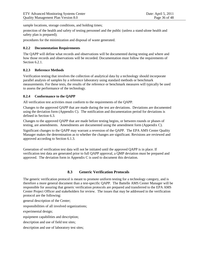sample locations, storage conditions, and holding times;

protection of the health and safety of testing personnel and the public (unless a stand-alone health and safety plan is prepared);

<span id="page-35-0"></span>procedures for the minimization and disposal of waste generated.

# **8.2.2 Documentation Requirements**

The QAPP will define what records and observations will be documented during testing and where and how those records and observations will be recorded. Documentation must follow the requirements of Section 6.2.1.

# <span id="page-35-1"></span>**8.2.3 Reference Methods**

Verification testing that involves the collection of analytical data by a technology should incorporate parallel analysis of samples by a reference laboratory using standard methods or benchmark measurements. For these tests, the results of the reference or benchmark measures will typically be used to assess the performance of the technology.

#### <span id="page-35-2"></span>**8.2.4 Conformance to the QAPP**

All verification test activities must conform to the requirements of the QAPP.

Changes to the approved QAPP that are made during the test are deviations. Deviations are documented using the deviation form (Appendix C). The notification and documentation period for deviations is defined in Section 6.3.

Changes to the approved QAPP that are made before testing begins, or between rounds or phases of testing, are amendments. Amendments are documented using the amendment form (Appendix C).

Significant changes to the QAPP may warrant a reversion of the QAPP. The EPA AMS Center Quality Manager makes the determination as to whether the changes are significant. Revisions are reviewed and approved according to Section 6.1.3.

Generation of verification test data will not be initiated until the approved QAPP is in place. If verification test data are generated prior to full QAPP approval, a QMP deviation must be prepared and approved. The deviation form in Appendix C is used to document this deviation.

# **8.3 Generic Verification Protocols**

<span id="page-35-3"></span>The generic verification protocol is meant to promote uniform testing for a technology category, and is therefore a more general document than a test-specific QAPP. The Battelle AMS Center Manager will be responsible for assuring that generic verification protocols are prepared and transferred to the EPA AMS Center Project Officer and stakeholders for review. The issues that may be addressed in the verification protocol are the following:

general description of the Center;

responsibilities of all involved organizations;

experimental design;

equipment capabilities and description;

description and use of field test sites;

description and use of laboratory test sites;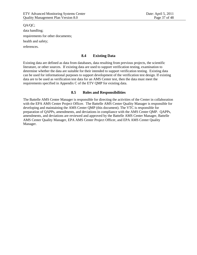QA/QC; data handling; requirements for other documents; health and safety; references.

#### **8.4 Existing Data**

Existing data are defined as data from databases, data resulting from previous projects, the scientific literature, or other sources. If existing data are used to support verification testing, examination to determine whether the data are suitable for their intended to support verification testing. Existing data can be used for informational purposes to support development of the verification test design. If existing data are to be used as verification test data for an AMS Center test, then the data must meet the requirements specified in Appendix C of the ETV QMP for existing data.

#### **8.5 Roles and Responsibilities**

The Battelle AMS Center Manager is responsible for directing the activities of the Center in collaboration with the EPA AMS Center Project Officer. The Battelle AMS Center Quality Manager is responsible for developing and maintaining the AMS Center QMP (this document). The VTC is responsible for preparation of QAPPs, amendments, and deviations in compliance with the AMS Center QMP. QAPPs, amendments, and deviations are reviewed and approved by the Battelle AMS Center Manager, Battelle AMS Center Quality Manager, EPA AMS Center Project Officer, and EPA AMS Center Quality Manager.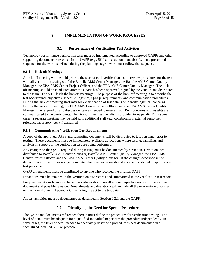## **9 IMPLEMENTATION OF WORK PROCESSES**

## **9.1 Performance of Verification Test Activities**

Technology performance verification tests must be implemented according to approved QAPPs and other supporting documents referenced in the QAPP (e.g., SOPs, instruction manuals). When a prescribed sequence for the work is defined during the planning stages, work must follow that sequence.

#### **9.1.1 Kick-off Meetings**

A kick-off meeting will be held prior to the start of each verification test to review procedures for the test with all verification testing staff, the Battelle AMS Center Manager, the Battelle AMS Center Quality Manager, the EPA AMS Center Project Officer, and the EPA AMS Center Quality Manager. The kickoff meeting should be conducted after the QAPP has been approved, signed by the vendor, and distributed to the team. The VTC leads the kickoff meetings. The purpose of the kick-off meeting is to describe the test background, objectives, schedule, logistics, QA/QC requirements, and communication procedures. During the kick-off meeting staff may seek clarification of test details or identify logistical concerns. During the kick-off meeting, the EPA AMS Center Project Officer and the EPA AMS Center Quality Manager may expand on any discussion item as needed to ensure that EPA's concerns and insights are communicated to the participants. The kick-off meeting checklist is provided in Appendix F. In some cases, a separate meeting may be held with additional staff (e.g. collaborators, external personnel, reference laboratory, etc.) if warranted.

#### **9.1.2 Communicating Verification Test Requirements**

A copy of the approved QAPP and supporting documents will be distributed to test personnel prior to testing. These documents must be immediately available at locations where testing, sampling, and analysis in support of the verification test are being performed.

Any changes to the QAPP required during testing must be documented by deviation. Deviations are distributed to Battelle AMS Center Manager, Battelle AMS Center Quality Manager, the EPA AMS Center Project Officer, and the EPA AMS Center Quality Manager. If the changes described in the deviation are for activities not yet completed then the deviation should also be distributed to appropriate test personnel.

QAPP amendments must be distributed to anyone who received the original QAPP.

Deviations must be retained in the verification test records and summarized in the verification test report.

Frequent deviations from established procedures should result in a retrospective review of the written document and possible revision. Amendments and deviations will include all the information displayed on the form shown in Appendix C, including impact to the test data.

All test activities must be documented as described in Section 6.2.1 and the QAPP.

## **9.2 Identifying the Need for Special Procedures**

The QAPP and documents referenced therein must define the procedures for verification testing. The level of detail must be adequate for a qualified individual to perform the procedure independently. In some cases, the level of detail needed to adequately describe a procedure is best documented in a specialized, detailed SOP or protocol.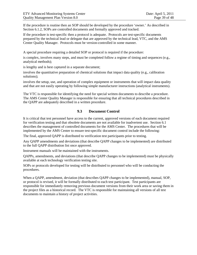If the procedure is routine then an SOP should be developed by the procedure 'owner.' As described in Section 6.1.2, SOPs are controlled documents and formally approved and tracked.

If the procedure is test-specific then a protocol is adequate. Protocols are test-specific documents prepared by the technical lead or delegate that are approved by the technical lead, VTC, and the AMS Center Quality Manager. Protocols must be version-controlled in some manner.

A special procedure requiring a detailed SOP or protocol is required if the procedure:

is complex, involves many steps, and must be completed follow a regime of timing and sequences (e.g., analytical methods);

is lengthy and is best captured in a separate document;

involves the quantitative preparation of chemical solutions that impact data quality (e.g., calibration solutions);

involves the setup, use, and operation of complex equipment or instruments that will impact data quality and that are not easily operating by following simple manufacturer instructions (analytical instruments).

The VTC is responsible for identifying the need for special written documents to describe a procedure. The AMS Center Quality Manager is responsible for ensuring that all technical procedures described in the QAPP are adequately described in a written procedure.

## **9.3 Document Control**

It is critical that test personnel have access to the current, approved versions of each document required for verification testing and that obsolete documents are not available for inadvertent use. Section 6.1 describes the management of controlled documents for the AMS Center. The procedures that will be implemented by the AMS Center to ensure test-specific document control include the following:

The final, approved QAPP is distributed to verification test participants prior to testing.

Any QAPP amendments and deviations (that describe QAPP changes to be implemented) are distributed to the full QAPP distribution list once approved.

Instrument manuals will be maintained with the instruments.

QAPPs, amendments, and deviations (that describe QAPP changes to be implemented) must be physically available at each technology verification testing site.

SOPs or protocols developed for testing will be distributed to personnel who will be conducting the procedures.

When a QAPP, amendment, deviation (that describes QAPP changes to be implemented), manual, SOP, or protocol is revised, it will be formally distributed to each test participant. Test participants are responsible for immediately removing previous document versions from their work area or saving them in the project files as a historical record. The VTC is responsible for maintaining all versions of all test documents to maintain a history of project activities.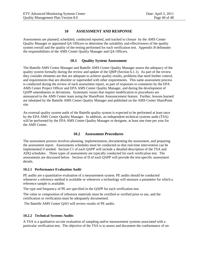## **10 ASSESSMENT AND RESPONSE**

Assessments are planned, scheduled, conducted reported, and tracked to closure by the AMS Center Quality Manager or appointed QA Officers to determine the suitability and effectiveness of the quality system overall and the quality of the testing performed for each verification test. Appendix B delineates the responsibilities of the AMS Center Quality Manager and QA Officers.

## **10.1 Quality System Assessment**

The Battelle AMS Center Manager and Battelle AMS Center Quality Manager assess the adequacy of the quality system formally during the review and update of the QMP (Section 6.1.1). As part of the review they consider elements are that are adequate to achieve quality results, problems that need further control, and requirements that are obsolete or superseded with other requirements. This same assessment process is conducted during the review of each assessment report, as part of responses to comments by the EPA AMS Center Project Officer and EPA AMS Center Quality Manager, and during the development of QAPP amendments or deviations. Systematic issues that require modification to procedures are announced to the AMS Center team using the SharePoint Announcement feature. Further, lessons learned are tabulated by the Battelle AMS Center Quality Manager and published on the AMS Center SharePoint site.

An external quality system audit of the Battelle quality system is expected to be performed at least once by the EPA AMS Center Quality Manager. In addition, an independent technical systems audit (TSA) will be performed by the EPA AMS Center Quality Manager or designee, at least one time per year for the AMS Center.

## **10.2 Assessment Procedures**

The assessment process involves planning, implementation, documenting the assessment, and preparing the assessment report. Assessments schedules must be conducted so that real-time intervention can be implemented if needed. Section C1 of each QAPP will include a detailed description of the TSA and ADQ schedules. Three types of assessments are typically conducted for each verification test. The assessments are discussed below. Section of D of each QAPP will provide the test-specific assessment details.

#### **10.2.1 Performance Evaluation Audit**

PE audits are a quantitative evaluation of a measurement system. PE audits should be conducted whenever a reference method is available or whenever a technology will measure a parameter for which a reference sample is available.

The type and frequency of PE are specified in the QAPP for each verification test.

The value or composition of reference materials must be certified or verified prior to use, and the certification or verification must be adequately documented.

The Battelle AMS Center QAO will review results of PE audits.

#### **10.2.2 Technical Systems Audits**

A TSA is a qualitative on-site evaluation of sampling and/or measurement systems associated with a particular verification test. The objective of the TSA is to assess and document the conformance of on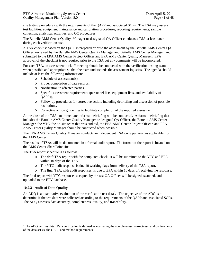site testing procedures with the requirements of the QAPP and associated SOPs. The TSA may assess test facilities, equipment maintenance and calibration procedures, reporting requirements, sample collection, analytical activities, and QC procedures.

The Battelle AMS Center Quality Manager or designated QA Officer conducts a TSA at least once during each verification test.

A TSA checklist based on the QAPP is prepared prior to the assessment by the Battelle AMS Center QA Officer, reviewed by the Battelle AMS Center Quality Manager and Battelle AMS Center Manager, and submitted to the EPA AMS Center Project Officer and EPA AMS Center Quality Manager. EPA approval of the checklist is not required prior to the TSA but any comments will be incorporated.

For each TSA, an assessment kickoff meeting should be conducted with the verification testing team when possible and appropriate so that the team understands the assessment logistics. The agenda should include at least the following information:

- o Schedule of assessment(s),
- o Proper completion of data records,
- o Notification to affected parties,
- o Specific assessment requirements (personnel lists, equipment lists, and availability of QAPPs),
- o Follow-up procedures for corrective action, including debriefing and discussion of possible resolutions,
- o Corrective action guidelines to facilitate completion of the reported assessment.

At the close of the TSA, an immediate informal debriefing will be conducted. A formal debriefing that includes the Battelle AMS Center Quality Manager or designed QA Officer, the Battelle AMS Center Manager, the VTC, the on-site team that was audited, the EPA AMS Center Project Officer, and EPA AMS Center Quality Manager should be conducted when possible.

The EPA AMS Center Quality Manager conducts an independent TSA once per year, as applicable, for the AMS Center.

The results of TSAs will be documented in a formal audit report. The format of the report is located on the AMS Center SharePoint site.

The TSA report schedule is as follows:

- o The draft TSA report with the completed checklist will be submitted to the VTC and EPA within 10 days of the TSA.
- o The VTC audit response is due 10 working days from delivery of the TSA report.
- o The final TSA, with audit responses, is due to EPA within 10 days of receiving the response.

The final report with VTC responses accepted by the test QA Officer will be signed, scanned, and uploaded to the ETV database.

## **10.2.3 Audit of Data Quality**

 $\overline{a}$ 

An ADQ is a quantitative evaluation of the verification test [d](#page-33-0)ata<sup>d</sup>. The objective of the ADQ is to determine if the test data were collected according to the requirements of the QAPP and associated SOPs. The ADQ assesses data accuracy, completeness, quality, and traceability.

<sup>&</sup>lt;sup>d</sup> The ADO verifies data. Data verification is defined as evaluating the completeness, correctness, and conformance of the data set vs. the QAPP and method requirements.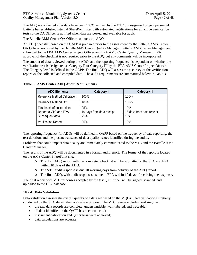The ADQ is conducted after data have been 100% verified by the VTC or designated project personnel. Battelle has established internal SharePoint sites with automated notifications for all active verification tests so the QA Officer is notified when data are posted and available for audit.

The Battelle AMS Center QA Officer conducts the ADQ.

An ADQ checklist based on the QAPP is prepared prior to the assessment by the Battelle AMS Center QA Officer, reviewed by the Battelle AMS Center Quality Manager, Battelle AMS Center Manager, and submitted to the EPA AMS Center Project Officer and EPA AMS Center Quality Manager. EPA approval of the checklist is not required prior to the ADQ but any comments will be incorporated.

The amount of data reviewed during the ADQ, and the reporting frequency, is dependent on whether the verification test is designated as Category II or Category III by the EPA AMS Center Project Officer. The Category level is defined in the QAPP. The final ADQ will assess the accuracy of the verification report vs. the collected and compiled data. The audit requirements are summarized below in Table 3.

| <b>ADQ Elements</b>          | <b>Category II</b>        | <b>Category III</b>       |
|------------------------------|---------------------------|---------------------------|
| Reference Method Calibration | 100%                      | 100%                      |
| Reference Method QC          | 100%                      | 100%                      |
| First batch of posted data   | 25%                       | 10%                       |
| Report to VTC and EPA        | 10 days from data receipt | 15 days from data receipt |
| Subsequent data              | 25%                       | 10%                       |
| <b>Verification Report</b>   | 25%                       | 10%                       |

## **Table 3. AMS Center ADQ Audit Requirements**

The reporting frequency for ADQs will be defined in QAPP based on the frequency of data reporting, the test duration, and the presence/absence of data quality issues identified during the audits.

Problems that could impact data quality are immediately communicated to the VTC and the Battelle AMS Center Manager.

The results of the ADQ will be documented in a formal audit report. The format of the report is located on the AMS Center SharePoint site.

- o The draft ADQ report with the completed checklist will be submitted to the VTC and EPA within 10 days of the ADQ.
- o The VTC audit response is due 10 working days from delivery of the ADQ report.
- o The final ADQ, with audit responses, is due to EPA within 10 days of receiving the response.

The final report with VTC responses accepted by the test QA Officer will be signed, scanned, and uploaded to the ETV database.

## **10.2.4 Data Validation**

Data validation assesses the overall quality of a data set based on the MQOs. Data validation is initially conducted by the VTC during the data review process. The VTC review includes verifying that:

- the raw data records are complete, understandable, well-labeled, and traceable;
- all data identified in the QAPP has been collected;
- instrument calibration and QC criteria were achieved;
- data calculations are accurate.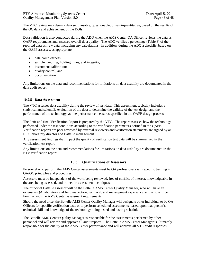The VTC review may deem a data set unusable, questionable, or semi-quantitative, based on the results of the QC data and achievement of the DQIs.

Data validation is also conducted during the ADQ when the AMS Center QA Officer reviews the data vs. QAPP requirements and assessed overall data quality. The ADQ verifies a percentage (Table 3) of the reported data vs. raw data, including any calculations. In addition, during the ADQ a checklist based on the QAPP assesses, as appropriate

- data completeness;
- sample handling, holding times, and integrity;
- instrument calibration;
- quality control; and
- documentation.

Any limitations on the data and recommendations for limitations on data usability are documented in the data audit report.

#### **10.2.5 Data Assessment**

The VTC assesses data usability during the review of test data. This assessment typically includes a statistical and scientific evaluation of the data to determine the validity of the test design and the performance of the technology vs. the performance measures specified in the QAPP design process.

The draft and final Verification Report is prepared by the VTC. The report assesses how the technology performed under the test conditions according to the verification parameters defined in the QAPP. Verification reports are peer-reviewed by external reviewers and verification statements are signed by an EPA laboratory director and Battelle management.

Any assessment findings that impact the quality of verification test data will be summarized in the verification test report

Any limitations on the data and recommendations for limitations on data usability are documented in the ETV verification report.

## **10.3 Qualifications of Assessors**

Personnel who perform the AMS Center assessments must be QA professionals with specific training in QA/QC principles and procedures.

Assessors must be independent of the work being reviewed, free of conflict of interest, knowledgeable in the area being assessed, and trained in assessment techniques.

The principal Battelle assessor will be the Battelle AMS Center Quality Manager, who will have an extensive QA laboratory and field inspection, technical, and management experience, and who will be familiar with the AMS Center assessment requirements.

Should the need arise, the Battelle AMS Center Quality Manager will designate other individual to be QA Officers for specific verification tests or to perform scheduled assessments, based upon that person's technical skill and knowledge of the technology being tested and testing schedule.

The Battelle AMS Center Quality Manager is responsible for the assessments performed by other personnel and will review and approve all audit reports. The Battelle AMS Center Manager is ultimately responsible for the quality of the AMS Center performance and will approve all VTC audit responses.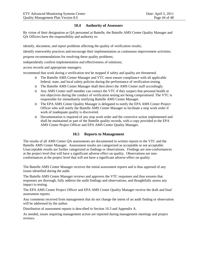## **10.4 Authority of Assessors**

By virtue of their designation as QA personnel at Battelle, the Battelle AMS Center Quality Manager and QA Officers have the responsibility and authority to:

identify, document, and report problems affecting the quality of verification results;

identify noteworthy practices and encourage their implementation as continuous improvement activities;

propose recommendations for resolving these quality problems;

independently confirm implementation and effectiveness of solutions;

access records and appropriate managers.

recommend that work during a verification test be stopped if safety and quality are threatened.

- o The Battelle AMS Center Manager and VTC must ensure compliance with all applicable federal, state, and local safety policies during the performance of verification testing.
- o The Battelle AMS Center Manager shall then direct the AMS Center staff accordingly.
- o Any AMS Center staff member can contact the VTC if they suspect that personal health or test objectives during the conduct of verification testing are being compromised. The VTC is responsible for immediately notifying Battelle AMS Center Manager.
- o The EPA AMS Center Quality Manager is delegated to notify the EPA AMS Center Project Officer who will notify the Battelle AMS Center Manager to facilitate a stop work order if work of inadequate quality is discovered.
- o Documentation is required of any stop work order and the corrective action implemented and shall be maintained as part of the Battelle quality records, with a copy provided to the EPA AMS Center Project Officer and EPA AMS Center Quality Manager.

## **10.5 Reports to Management**

The results of all AMS Center QA assessments are documented in written reports to the VTC and the Battelle AMS Center Manager. Assessment results are categorized as acceptable or not acceptable. Unacceptable results are further categorized as findings or observations. Findings are non-conformances at the project level that will have a significant adverse effect on quality. Observations are nonconformances at the project level that will not have a significant adverse effect on quality.

The Battelle AMS Center Manager receives the initial assessment reports and is thus apprised of any issues identified during the audit.

The Battelle AMS Center Manager reviews and approves the VTC responses and thus ensures that responses are thorough, fully address the audit findings and observations, and thoughtfully assess any impact to testing.

The EPA AMS Center Project Officer and EPA AMS Center Quality Manager receive the draft and final assessment reports.

Any comments received from management that do not change the intent of an audit finding or observation will be addressed by the author.

Distribution of assessment reports is described in Section 10.3 and Appendix A.

As needed, issues requiring management action are reported during management meetings and project reviews.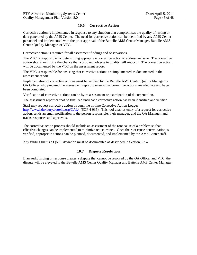## **10.6 Corrective Action**

Corrective action is implemented in response to any situation that compromises the quality of testing or data generated by the AMS Center. The need for corrective action can be identified by any AMS Center personnel and implemented with the prior approval of the Battelle AMS Center Manager, Battelle AMS Center Quality Manager, or VTC.

Corrective action is required for all assessment findings and observations.

The VTC is responsible for determining appropriate corrective action to address an issue. The corrective action should minimize the chance that a problem adverse to quality will re-occur. The corrective action will be documented by the VTC on the assessment report.

The VTC is responsible for ensuring that corrective actions are implemented as documented in the assessment report.

Implementation of corrective actions must be verified by the Battelle AMS Center Quality Manager or QA Officer who prepared the assessment report to ensure that corrective actions are adequate and have been completed.

Verification of corrective actions can be by re-assessment or examination of documentation.

The assessment report cannot be finalized until each corrective action has been identified and verified.

Staff may request corrective action through the on-line Corrective Action Logger <http://wwwi.duxbury.battelle.org/CAL/>(SOP 4-035). This tool enables entry of a request for corrective action, sends an email notification to the person responsible, their manager, and the QA Manager, and tracks responses and approvals.

The corrective action process should include an assessment of the root cause of a problem so that effective changes can be implemented to minimize reoccurrence. Once the root cause determination is verified, appropriate actions can be planned, documented, and implemented by the AMS Center staff.

Any finding that is a QAPP deviation must be documented as described in Section 8.2.4.

#### **10.7 Dispute Resolution**

If an audit finding or response creates a dispute that cannot be resolved by the QA Officer and VTC, the dispute will be elevated to the Battelle AMS Center Quality Manager and Battelle AMS Center Manager.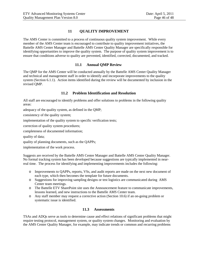## **11 QUALITY IMPROVEMENT**

The AMS Center is committed to a process of continuous quality system improvement. While every member of the AMS Center team is encouraged to contribute to quality improvement initiatives, the Battelle AMS Center Manager and Battelle AMS Center Quality Manager are specifically responsible for identifying opportunities to improve the quality system. The purpose of quality system improvement is to ensure that conditions adverse to quality are prevented, identified, corrected, documented, and tracked.

## **11.1 Annual QMP Review**

The QMP for the AMS Center will be conducted annually by the Battelle AMS Center Quality Manager and technical and management staff in order to identify and incorporate improvements to the quality system (Section 6.1.1). Action items identified during the review will be documented by inclusion in the revised QMP.

## **11.2 Problem Identification and Resolution**

All staff are encouraged to identify problems and offer solutions to problems in the following quality areas:

adequacy of the quality system, as defined in the QMP;

consistency of the quality system;

implementation of the quality system to specific verification tests;

correction of quality system procedures;

completeness of documented information;

quality of data;

quality of planning documents, such as the QAPPs;

implementation of the work process.

Suggests are received by the Battelle AMS Center Manager and Battelle AMS Center Quality Manager. No formal tracking system has been developed because suggestions are typically implemented in nearreal time. The process for identifying and implementing improvements includes the following:

- o Improvements to QAPPs, reports, VSs, and audit reports are made on the next new document of each type, which then becomes the template for future documents.
- o Suggestions for improving sampling designs or test logistics are communicated during AMS Center team meetings.
- o The Battelle ETV SharePoint site uses the Announcement feature to communicate improvements, lessons learned, and new instructions to the Battelle AMS Center team.
- o Any staff member may request a corrective action (Section 10.6) if an on-going problem or systematic issue is identified.

## **11.3 Assessments**

TSAs and ADQs serve as tools to determine cause and effect relations of significant problems that might require testing protocol, management system, or quality system changes. Monitoring and evaluation by the AMS Center Quality Manager, for example, may indicate trends or common and recurring problems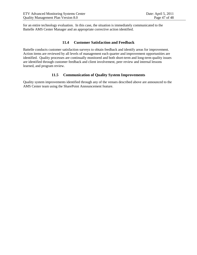for an entire technology evaluation. In this case, the situation is immediately communicated to the Battelle AMS Center Manager and an appropriate corrective action identified.

## **11.4 Customer Satisfaction and Feedback**

Battelle conducts customer satisfaction surveys to obtain feedback and identify areas for improvement. Action items are reviewed by all levels of management each quarter and improvement opportunities are identified. Quality processes are continually monitored and both short-term and long-term quality issues are identified through customer feedback and client involvement, peer review and internal lessons learned, and program review.

## **11.5 Communication of Quality System Improvements**

Quality system improvements identified through any of the venues described above are announced to the AMS Center team using the SharePoint Announcement feature.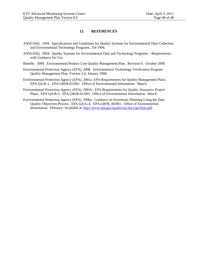#### **12 REFERENCES**

- ANSI/ASQ. 1994. Specifications and Guidelines for Quality Systems for Environmental Data Collection and Environmental Technology Programs. E4-1994.
- ANSI/ASQ. 2004. Quality Systems for Environmental Data and Technology Programs Requirements with Guidance for Use.
- Battelle. 2009. Environmental Product Line Quality Management Plan. Revision 0. October 2009.
- Environmental Protection Agency (EPA). 2008. Environmental Technology Verification Program Quality Management Plan. Version 3.0. January 2008.
- Environmental Protection Agency (EPA). 2001a. EPA Requirements for Quality Management Plans. EPA QA/R-2. EPA/240/B-01/002. Office of Environmental Information. March.
- Environmental Protection Agency (EPA). 2001b. EPA Requirements for Quality Assurance Project Plans. EPA QA/R-5. EPA/240/B-01/003. Office of Environmental Information. March.
- Environmental Protection Agency (EPA). 2006a. Guidance on Systematic Planning Using the Data Quality Objectives Process. EPA QA/G-4. EPA/240/B\_06/001. Office of Environmental Information. February. Available at: [http://www.epa.gov/quality/qs-docs/g4-final.pdf.](http://www.epa.gov/quality/qs-docs/g4-final.pdf)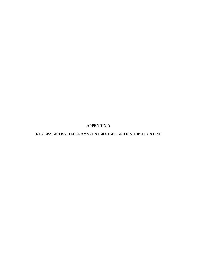**APPENDIX A**

**KEY EPA AND BATTELLE AMS CENTER STAFF AND DISTRIBUTION LIST**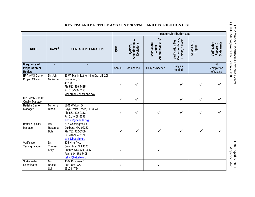|                                                 |                                          |                                                                                                                                  |              |                                                            |                                                     | <b>Master Distribution List</b>                                      |                       |                                                |   |
|-------------------------------------------------|------------------------------------------|----------------------------------------------------------------------------------------------------------------------------------|--------------|------------------------------------------------------------|-----------------------------------------------------|----------------------------------------------------------------------|-----------------------|------------------------------------------------|---|
| <b>ROLE</b>                                     | NAME <sup>1</sup>                        | <b>CONTACT INFORMATION</b>                                                                                                       | <b>alkiO</b> | ళ<br>Amendments,<br><b>Deviations</b><br>QAPP <sub>S</sub> | Announcements <sup>2</sup><br>General AMS<br>Center | Correspondence,<br>E-mails, & Data <sup>3</sup><br>Verification Test | TSA and ADQ<br>Report | Verification<br><b>Statements</b><br>Reports & | a |
| Frequency of<br>Preparation or<br><b>Review</b> |                                          |                                                                                                                                  | Annual       | As needed                                                  | Daily as needed                                     | Daily as<br>needed                                                   |                       | $\overline{At}$<br>completion<br>of testing    |   |
| <b>EPA AMS Center</b><br>Project Officer        | Dr. John<br>McKernan                     | 26 W. Martin Luther King Dr., MS 208<br>Cincinnati, OH<br>45268<br>Ph: 513-569-7415<br>Fx: 513-569-7158<br>McKernan.John@epa.gov | ✓            |                                                            |                                                     | ✓                                                                    | ✓                     |                                                |   |
| <b>EPA AMS Center</b><br><b>Quality Manager</b> |                                          |                                                                                                                                  | ✓            | $\checkmark$                                               |                                                     | $\checkmark$                                                         | $\checkmark$          |                                                |   |
| <b>Battelle Center</b><br>Manager               | $\overline{\mathsf{Ms}}$ . Amy<br>Dindal | 1801 Waldorf Dr.<br>Royal Palm Beach, FL 33411<br>Ph: 561-422-0113<br>Fx: 614-458-6697<br>dindala@battelle.org                   | ✓            |                                                            | ✓                                                   | ✓                                                                    | ✓                     |                                                |   |
| <b>Battelle Quality</b><br>Manager              | Ms.<br>Rosanna<br><b>Buhl</b>            | 397 Washington St.<br>Duxbury, MA 02332<br>Ph: 781-952-5309<br>Fx: 781-934-2124<br>buhl@battelle.org                             | ✓            | ✓                                                          | $\checkmark$                                        | ✓                                                                    | ✓                     |                                                |   |
| Verification<br><b>Testing Leader</b>           | Dr.<br>Thomas<br>Kelly                   | 505 King Ave.<br>Columbus, OH 43201<br>Phone: 614-424-3495<br>Fax: 614-458-3495<br>kellyt@battelle.org                           |              |                                                            |                                                     |                                                                      |                       |                                                |   |
| Stakeholder<br>Coordinator                      | Ms.<br>Rachel<br>Sell                    | 4009 Rondeau Dr.<br>San Jose, CA<br>95124-4724                                                                                   | ✓            |                                                            | ✓                                                   |                                                                      |                       |                                                |   |

#### **KEY EPA AND BATTELLE AMS CENTER STAFF AND DISTRIBUTION LIST**

ETV Advanced Monitoring Systems Center<br>Quality Management Plan Version 8.0 Quality Management Plan Version 8.0 ETV Advanced Monitoring Systems Center

Date: April 5, 2011 Appendix A Date: April 5, 2011<br>Appendix A-1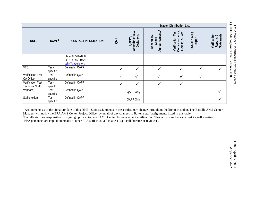|                                             |                   |                                                            |              |                                                       |                                                     | <b>Master Distribution List</b>                                      |                           |                                                |
|---------------------------------------------|-------------------|------------------------------------------------------------|--------------|-------------------------------------------------------|-----------------------------------------------------|----------------------------------------------------------------------|---------------------------|------------------------------------------------|
| <b>ROLE</b>                                 | NAME <sup>1</sup> | <b>CONTACT INFORMATION</b>                                 | OMP          | ≈<br>Amendments,<br>Deviations<br>QAPP <sub>S</sub> , | Announcements <sup>2</sup><br>General AMS<br>Center | Correspondence,<br>E-mails, & Data <sup>3</sup><br>Verification Test | and ADQ<br>Report<br>TSA. | <b>Statements</b><br>Verification<br>Reports & |
|                                             |                   | Ph: 408-728-7008<br>Fx: 614-458-0728<br>sellr@battelle.org |              |                                                       |                                                     |                                                                      |                           |                                                |
| <b>VTC</b>                                  | Test-<br>specific | Defined in QAPP                                            | $\checkmark$ | $\checkmark$                                          | $\checkmark$                                        | $\checkmark$                                                         | √                         | ✓                                              |
| <b>Verification Test</b><br>QA Officer      | Test-<br>specific | Defined in QAPP                                            | $\checkmark$ | $\checkmark$                                          | $\checkmark$                                        | $\checkmark$                                                         | $\checkmark$              |                                                |
| Verification Test<br><b>Technical Staff</b> | Test-<br>specific | Defined in QAPP                                            | ✓            | $\checkmark$                                          | $\checkmark$                                        | $\checkmark$                                                         |                           |                                                |
| Vendors                                     | Test-<br>specific | Defined in QAPP                                            |              | QAPP Only                                             |                                                     |                                                                      |                           | $\checkmark$                                   |
| Stakeholders                                | Test-<br>specific | Defined in QAPP                                            |              | QAPP Only                                             |                                                     |                                                                      |                           | $\checkmark$                                   |

<sup>1</sup> Assignments as of the signature date of this QMP. Staff assignments in these roles may change throughout the life of this plan. The Battelle AMS Center Manager will notify the EPA AMS Center Project Officer by email of any changes to Battelle staff assignments listed in this table. <sup>1</sup> <sup>1</sup>Battelle staff are responsible for signing up for automated AMS Center Announcement notification. This is discussed at each test kickoff meeting. <sup>2</sup>EPA personnel are copied on emails to other EPA staff involved in a test (e.g., collaborator or reviewer).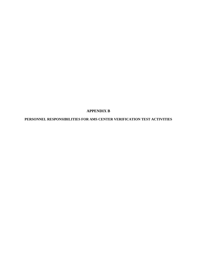**APPENDIX B**

**PERSONNEL RESPONSIBILITIES FOR AMS CENTER VERIFICATION TEST ACTIVITIES**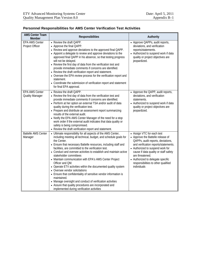| <b>AMS Center Team</b><br><b>Member</b>         | Responsibilities                                                                                                                                                                                                                                                                                                                                                                                                                                                                                                                                                                                                                                                                                                                                                                                               | Authority                                                                                                                                                                                                                                                                                                                               |
|-------------------------------------------------|----------------------------------------------------------------------------------------------------------------------------------------------------------------------------------------------------------------------------------------------------------------------------------------------------------------------------------------------------------------------------------------------------------------------------------------------------------------------------------------------------------------------------------------------------------------------------------------------------------------------------------------------------------------------------------------------------------------------------------------------------------------------------------------------------------------|-----------------------------------------------------------------------------------------------------------------------------------------------------------------------------------------------------------------------------------------------------------------------------------------------------------------------------------------|
| <b>EPA AMS Center</b><br>Project Officer        | • Review the draft QAPP.<br>• Approve the final QAPP.<br>• Review and approve deviations to the approved final QAPP.<br>• Appoint a delegate to review and approve deviations to the<br>approved final QAPP in his absence, so that testing progress<br>will not be delayed.<br>• Review the first day of data from the verification test and<br>provide immediate comments if concerns are identified.<br>• Review the draft verification report and statement.<br>• Oversee the EPA review process for the verification report and<br>statement.<br>• Coordinate the submission of verification report and statement<br>for final EPA approval.                                                                                                                                                              | • Approve QAPPs, audit reports,<br>deviations, and verification<br>reports/statements.<br>• Authorized to suspend work if data<br>quality or project objectives are<br>jeopardized.                                                                                                                                                     |
| <b>EPA AMS Center</b><br><b>Quality Manager</b> | • Review the draft QAPP.<br>• Review the first day of data from the verification test and<br>provide immediate comments if concerns are identified.<br>• Perform at her option an external TSA and/or audit of data<br>quality during the verification test.<br>• Prepare and distribute an assessment report summarizing<br>results of the external audit.<br>• Notify the EPA AMS Center Manager of the need for a stop<br>work order if the external audit indicates that data quality or<br>safety is being compromised.<br>• Review the draft verification report and statement.                                                                                                                                                                                                                          | • Approve the QAPP, audit reports,<br>deviations, and verification<br>statements.<br>• Authorized to suspend work if data<br>quality or project objectives are<br>jeopardized.                                                                                                                                                          |
| <b>Battelle AMS Center</b><br>Manager           | • Ultimate responsibility for all aspects of the AMS Center,<br>including meeting all technical, budget, and schedule goals for<br>the Center.<br>• Ensure that necessary Battelle resources, including staff and<br>facilities, are committed to the verification test.<br>• Conduct and oversee activities to establish and maintain active<br>stakeholder committees<br>• Maintain communication with EPA's AMS Center Project<br>Officer and QM.<br>• Operate ETV activities within the documented quality system<br>• Oversee vendor solicitations<br>• Ensure that confidentiality of sensitive vendor information is<br>maintained.<br>• Manage oversight and conduct of verification activities<br>• Assure that quality procedures are incorporated and<br>implemented during verification activities | • Assign VTC for each test<br>• Approve the Battelle release of<br>QAPPs, audit reports, deviations,<br>and verification reports/statements.<br>• Authorized to suspend work for<br>cause if data quality or staff safety<br>are threatened.<br>• Authorized to delegate specific<br>responsibilities to other qualified<br>individuals |

## **Personnel Responsibilities for AMS Center Verification Test Activities**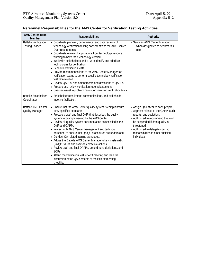| <b>AMS Center Team</b><br><b>Member</b>               | Responsibilities                                                                                                                                                                                                                                                                                                                                                                                                                                                                                                                                                                                                                                                                                                                                                                                             | Authority                                                                                                                                                                                                                                                                                    |
|-------------------------------------------------------|--------------------------------------------------------------------------------------------------------------------------------------------------------------------------------------------------------------------------------------------------------------------------------------------------------------------------------------------------------------------------------------------------------------------------------------------------------------------------------------------------------------------------------------------------------------------------------------------------------------------------------------------------------------------------------------------------------------------------------------------------------------------------------------------------------------|----------------------------------------------------------------------------------------------------------------------------------------------------------------------------------------------------------------------------------------------------------------------------------------------|
| <b>Battelle Verification</b><br><b>Testing Leader</b> | • Coordinate planning, performance, and data reviews of<br>technology verification testing consistent with the AMS Center<br><b>QMP</b> requirements<br>• Coordinate review of applications from technology vendors<br>wanting to have their technology verified<br>• Work with stakeholders and EPA to identify and prioritize<br>technologies for verification<br>• Schedule verification tests<br>• Provide recommendations to the AMS Center Manager for<br>verification teams to perform specific technology verification<br>test/data reviews.<br>• Review QAPPs, and amendments and deviations to QAPPs<br>• Prepare and review verification reports/statements<br>• Oversee/assist in problem resolution involving verification tests                                                                | • Serve as AMS Center Manager<br>when designated to perform this<br>role                                                                                                                                                                                                                     |
| <b>Battelle Stakeholder</b><br>Coordinator            | • Stakeholder recruitment, communications, and stakeholder<br>meeting facilitation.                                                                                                                                                                                                                                                                                                                                                                                                                                                                                                                                                                                                                                                                                                                          |                                                                                                                                                                                                                                                                                              |
| <b>Battelle AMS Center</b><br><b>Quality Manager</b>  | • Ensure that the AMS Center quality system is compliant with<br><b>EPA-specified standards</b><br>• Prepare a draft and final QMP that describes the quality<br>system to be implemented by the AMS Center.<br>• Review all quality system documentation as specified in the<br><b>OMP and OAPPs</b><br>• Interact with AMS Center management and technical<br>personnel to ensure that QA/QC procedures are understood<br>• Conduct QA-related training as needed.<br>• Advise the Battelle AMS Center Manager of any systematic<br>QA/QC issues and oversee corrective actions<br>• Review draft and final QAPPs, amendment, deviations, and<br>SOP <sub>S</sub> .<br>• Attend the verification test kick-off meeting and lead the<br>discussion of the QA elements of the kick-off meeting<br>checklist. | • Assign QA Officer to each project.<br>• Approve release of the QAPP, audit<br>reports, and deviations.<br>• Authorized to recommend that work<br>be suspended if data quality is<br>threatened.<br>• Authorized to delegate specific<br>responsibilities to other qualified<br>individuals |

## **Personnel Responsibilities for the AMS Center for Verification Testing Activities**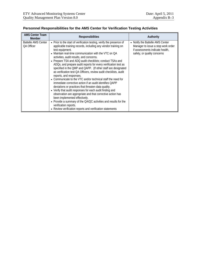| <b>AMS Center Team</b><br><b>Member</b>  | <b>Responsibilities</b>                                                                                                                                                                                                                                                                                                                                                                                                                                                                                                                                                                                                                                                                                                                                                                                                                                                                                                                                                                                                                                           | Authority                                                                                                                                |
|------------------------------------------|-------------------------------------------------------------------------------------------------------------------------------------------------------------------------------------------------------------------------------------------------------------------------------------------------------------------------------------------------------------------------------------------------------------------------------------------------------------------------------------------------------------------------------------------------------------------------------------------------------------------------------------------------------------------------------------------------------------------------------------------------------------------------------------------------------------------------------------------------------------------------------------------------------------------------------------------------------------------------------------------------------------------------------------------------------------------|------------------------------------------------------------------------------------------------------------------------------------------|
| <b>Battelle AMS Center</b><br>QA Officer | • Prior to the start of verification testing, verify the presence of<br>applicable training records, including any vendor training on<br>test equipment.<br>• Maintain real-time communication with the VTC on QA<br>activities, audit results, and concerns.<br>• Prepare TSA and ADQ audit checklists; conduct TSAs and<br>ADQs, and prepare audit reports for every verification test as<br>specified in the QMP and QAPP. (If other staff are designated<br>as verification test QA Officers, review audit checklists, audit<br>reports, and responses.<br>• Communicate to the VTC and/or technical staff the need for<br>immediate corrective action if an audit identifies QAPP<br>deviations or practices that threaten data quality.<br>• Verify that audit responses for each audit finding and<br>observation are appropriate and that corrective action has<br>been implemented effectively.<br>• Provide a summary of the QA/QC activities and results for the<br>verification reports.<br>• Review verification reports and verification statements | • Notify the Battelle AMS Center<br>Manager to issue a stop work order<br>if assessments indicate health,<br>safety, or quality concerns |

## **Personnel Responsibilities for the AMS Center for Verification Testing Activities**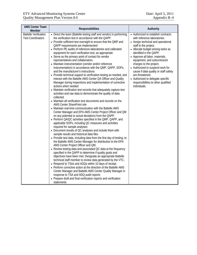| <b>AMS Center Team</b><br>Member                         | Responsibilities                                                                                                                                                                                                                                                                                                                                                                                                                                                                                                                                                                                                                                                                                                                                                                                                                                                                                                                                                                                                                                                                                                                                                                                                                                                                                                                                                                                                                                                                                                                                                                                                                                                                                                                                                                                                                                                                                                                                                                                                                                                                                                                                                                                                                                                                                    | Authority                                                                                                                                                                                                                                                                                                                                                                                                                                                                                  |
|----------------------------------------------------------|-----------------------------------------------------------------------------------------------------------------------------------------------------------------------------------------------------------------------------------------------------------------------------------------------------------------------------------------------------------------------------------------------------------------------------------------------------------------------------------------------------------------------------------------------------------------------------------------------------------------------------------------------------------------------------------------------------------------------------------------------------------------------------------------------------------------------------------------------------------------------------------------------------------------------------------------------------------------------------------------------------------------------------------------------------------------------------------------------------------------------------------------------------------------------------------------------------------------------------------------------------------------------------------------------------------------------------------------------------------------------------------------------------------------------------------------------------------------------------------------------------------------------------------------------------------------------------------------------------------------------------------------------------------------------------------------------------------------------------------------------------------------------------------------------------------------------------------------------------------------------------------------------------------------------------------------------------------------------------------------------------------------------------------------------------------------------------------------------------------------------------------------------------------------------------------------------------------------------------------------------------------------------------------------------------|--------------------------------------------------------------------------------------------------------------------------------------------------------------------------------------------------------------------------------------------------------------------------------------------------------------------------------------------------------------------------------------------------------------------------------------------------------------------------------------------|
| <b>Battelle Verification</b><br><b>Test Coordinators</b> | • Direct the team (Battelle testing staff and vendor) in performing<br>the verification test in accordance with the QAPP.<br>• Provide sufficient test oversight to ensure that the QMP and<br>QAPP requirements are implemented<br>• Perform PE audits of reference laboratories and calibrated<br>equipment for each verification test, as appropriate<br>• Serve as the primary point of contact for vendor<br>representatives and collaborators.<br>• Maintain instrumentation (vendor and/or reference<br>instrumentation) in accordance with the QMP, QAPP, SOPs,<br>and the manufacturer's instructions<br>• Provide technical support to verification testing as needed, and<br>interact with the Battelle AMS Center QA Officer and Quality<br>Manager during inspections and implementation of corrective<br>actions when needed<br>• Maintain verification test records that adequately capture test<br>activities and raw data to demonstrate the quality of data<br>collected<br>• Maintain all verification test documents and records on the<br>AMS Center SharePoint site<br>• Maintain real-time communication with the Battelle AMS<br>Center Manager and EPA AMS Center Project Officer and QM<br>on any potential or actual deviations from the QAPP.<br>• Perform QA/QC activities specified in the QMP, QAPP, and<br>applicable SOPs, including QC measures and activities<br>required for sample analyses<br>• Document results of QC analyses and include them with<br>sample results and historical data files<br>• Provide test data, including data from the first day of testing, to<br>the Battelle AMS Center Manager for distribution to the EPA<br>AMS Center Project Officer and QM.<br>• Review testing data and associated QC data at the frequency<br>specified in the QAPP to determine if quality goals and<br>objectives have been met. Designate an appropriate Battelle<br>technical staff member to review data generated by the VTC.<br>• Respond to TSAs and ADQs within 10 days of receipt.<br>• Perform corrective action at the direction of the Battelle AMS<br>Center Manager and Battelle AMS Center Quality Manager in<br>response to TSA and ADQ audit reports<br>• Prepare draft and final verification reports and verification<br>statements | • Authorized to establish contracts<br>with reference laboratories<br>• Assign technical and operational<br>staff to the project.<br>• Allocate budget among tasks as<br>identified in the QAPP.<br>• Approve all labor, materials,<br>equipment, and subcontractor<br>charges to the project.<br>• Authorized to suspend work for<br>cause if data quality or staff safety<br>are threatened.<br>• Authorized to delegate specific<br>responsibilities to other qualified<br>individuals. |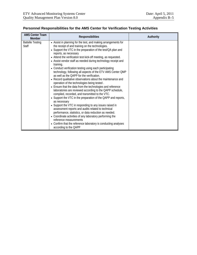| <b>AMS Center Team</b><br><b>Member</b> | <b>Responsibilities</b>                                                                                                                                                                                                                                                                                                                                                                                                                                                                                                                                                                                                                                                                                                                                                                                                                                                                                                                                                                                                                                                                                                                                                                                                                                                    | Authority |
|-----------------------------------------|----------------------------------------------------------------------------------------------------------------------------------------------------------------------------------------------------------------------------------------------------------------------------------------------------------------------------------------------------------------------------------------------------------------------------------------------------------------------------------------------------------------------------------------------------------------------------------------------------------------------------------------------------------------------------------------------------------------------------------------------------------------------------------------------------------------------------------------------------------------------------------------------------------------------------------------------------------------------------------------------------------------------------------------------------------------------------------------------------------------------------------------------------------------------------------------------------------------------------------------------------------------------------|-----------|
| <b>Battelle Testing</b><br><b>Staff</b> | • Assist in planning for the test, and making arrangements for<br>the receipt of and training on the technologies.<br>• Support the VTC in the preparation of the test/QA plan and<br>reports, as necessary<br>• Attend the verification test kick-off meeting, as requested.<br>• Assist vendor staff as needed during technology receipt and<br>training.<br>• Conduct verification testing using each participating<br>technology, following all aspects of the ETV AMS Center OMP<br>as well as the QAPP for the verification.<br>• Record qualitative observations about the maintenance and<br>operation of the technologies being tested.<br>• Ensure that the data from the technologies and reference<br>laboratories are reviewed according to the QAPP schedule,<br>compiled, recorded, and transmitted to the VTC.<br>• Support the VTC in the preparation of the QAPP and reports,<br>as necessary<br>• Support the VTC in responding to any issues raised in<br>assessment reports and audits related to technical<br>performance, statistics, or data reduction as needed.<br>• Coordinate activities of any laboratory performing the<br>reference measurements<br>• Confirm that the reference laboratory is conducting analyses<br>according to the QAPP |           |

## **Personnel Responsibilities for the AMS Center for Verification Testing Activities**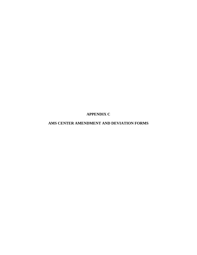**APPENDIX C**

## **AMS CENTER AMENDMENT AND DEVIATION FORMS**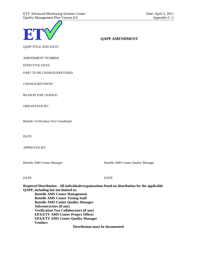

## **QAPP AMENDMENT**

QAPP TITLE AND DATE:

AMENDMENT NUMBER:

EFFECTIVE DATE:

PART TO BE CHANGED/REVISED:

CHANGE/REVISION:

REASON FOR CHANGE:

ORIGINATED BY:

Battelle Verification Test Coordinator

DATE

APPROVED BY:

Battelle AMS Center Manager Battelle AMS Center Quality Manager

DATE DATE

**Required Distribution - All individuals/organizations listed on distribution for the applicable QAPP, including but not limited to: Battelle AMS Center Management Battelle AMS Center Testing Staff Battelle AMS Center Quality Manager Subcontractors (if any) Verification Test Collaborators (if any) EPA/ETV AMS Center Project Officer EPA/ETV AMS Center Quality Manager Vendors Distribution must be documented**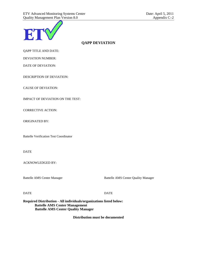

## **QAPP DEVIATION**

QAPP TITLE AND DATE:

DEVIATION NUMBER:

DATE OF DEVIATION:

DESCRIPTION OF DEVIATION:

CAUSE OF DEVIATION:

IMPACT OF DEVIATION ON THE TEST:

CORRECTIVE ACTION:

ORIGINATED BY:

Battelle Verification Test Coordinator

DATE

ACKNOWLEDGED BY:

Battelle AMS Center Manager Battelle AMS Center Quality Manager

DATE DATE

**Required Distribution - All individuals/organizations listed below: Battelle AMS Center Management Battelle AMS Center Quality Manager**

**Distribution must be documented**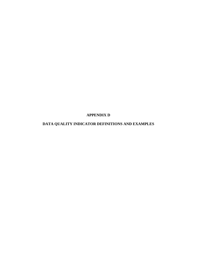**APPENDIX D**

# **DATA QUALITY INDICATOR DEFINITIONS AND EXAMPLES**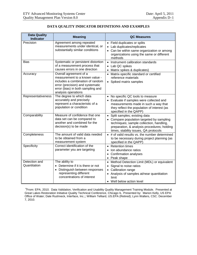| <b>Data Quality</b><br><b>Indicator</b> | <b>Meaning</b>                                                                                                                                                                               | <b>QC Measures</b>                                                                                                                                                                                              |
|-----------------------------------------|----------------------------------------------------------------------------------------------------------------------------------------------------------------------------------------------|-----------------------------------------------------------------------------------------------------------------------------------------------------------------------------------------------------------------|
| Precision                               | Agreement among repeated<br>measurements under identical, or<br>substantially similar conditions                                                                                             | • Field duplicates or splits<br>• Lab duplicates/replicates<br>• Can be within same organization or among<br>organizations using the same or different<br>methods                                               |
| <b>Bias</b>                             | Systematic or persistent distortion<br>of a measurement process that<br>causes errors in one direction                                                                                       | • Instrument calibration standards<br>Lab QC spikes<br>• Matrix spikes & duplicates)                                                                                                                            |
| Accuracy                                | Overall agreement of a<br>measurement to a known value -<br>includes a combination of random<br>error (precision) and systematic<br>error (bias) in both sampling and<br>analysis operations | • Matrix-specific standard or certified<br>reference materials<br>• Spiked matrix samples                                                                                                                       |
| Representativeness                      | The degree to which data<br>accurately and precisely<br>represent a characteristic of a<br>population or condition                                                                           | • No specific QC tools to measure<br>• Evaluate if samples were collected and<br>measurements made in such a way that<br>they reflect the population of interest (as<br>specified in the QAPP)                  |
| Comparability                           | Measure of confidence that one<br>data set can be compared to<br>another and combined for the<br>decision(s) to be made                                                                      | • Split samples; existing data<br>• Compare population targeted by sampling<br>techniques; sample collection, handling,<br>preparation, & analysis procedures; holding<br>times, stability issues, QA protocols |
| Completeness                            | The amount of valid data needed<br>to be obtained from a<br>measurement system                                                                                                               | • # of valid results vs. the number determined<br>to be necessary during project planning (as<br>specified in the QAPP)                                                                                         |
| Specificity                             | Correct identification of the<br>parameter you are targeting                                                                                                                                 | • Retention times<br>Ion abundance ratios<br>Confirmation analyses<br>Peak shape                                                                                                                                |
| Detection and<br>Quantitation           | The ability to<br>Determine if it is there or not<br>Distinguish between responses<br>representing different<br>concentrations of interest                                                   | • Method Detection Limit (MDL) or equivalent<br>Signal to noise ratios<br>Calibration range<br>• Analysis of samples at/near quantitation<br>limit<br>• Well below action level                                 |

## **DATA QUALITY INDICATOR DEFINITIONS AND EXAMPLES**

<sup>a</sup>From: EPA, 2010. Data Validation, Verification and Usability Quality Management Training Module. Presented at Great Lakes Restoration Initiative Quality Technical Conference, Chicago IL. Presented by: Marion Kelly, US EPA Office of Water; Dale Rushneck, Interface, Inc.;; William Telliard, US.EPA (Retired); Lynn Walters, CSC. December 7, 2010.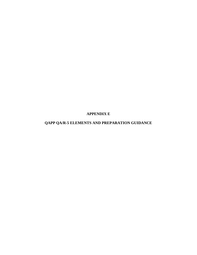**APPENDIX E**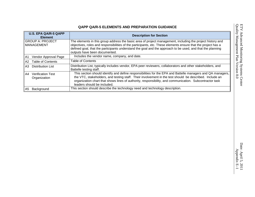| <b>U.S. EPA QA/R-5 QAPP</b><br><b>Element</b>  | <b>Description for Section</b>                                                                                                                                                                                                                                                                                                                                             |
|------------------------------------------------|----------------------------------------------------------------------------------------------------------------------------------------------------------------------------------------------------------------------------------------------------------------------------------------------------------------------------------------------------------------------------|
| <b>GROUP A: PROJECT</b><br><b>MANAGEMENT</b>   | The elements in this group address the basic area of project management, including the project history and<br>objectives, roles and responsibilities of the participants, etc. These elements ensure that the project has a<br>defined goal, that the participants understand the goal and the approach to be used, and that the planning<br>outputs have been documented. |
| A1 Vendor Approval Page                        | Includes the vendor name, company, and date.                                                                                                                                                                                                                                                                                                                               |
| A2 Table of Contents                           | <b>Table of Contents</b>                                                                                                                                                                                                                                                                                                                                                   |
| <b>Distribution List</b><br>A3.                | Distribution List, typically includes vendor, EPA peer reviewers, collaborators and other stakeholders, and<br>Battelle testing staff.                                                                                                                                                                                                                                     |
| <b>Verification Test</b><br>A4<br>Organization | This section should identify and define responsibilities for the EPA and Battelle managers and QA managers,<br>the VTC, stakeholders, and testing staff. Their involvement in the test should be described. Include an<br>organization chart that shows lines of authority, responsibility, and communication. Subcontractor task<br>leaders should be included.           |
| Background<br>A5                               | This section should describe the technology need and technology description.                                                                                                                                                                                                                                                                                               |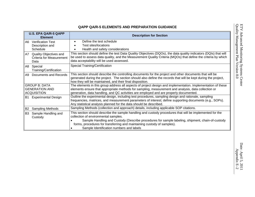| <b>U.S. EPA QA/R-5 QAPP</b><br><b>Element</b>                           | <b>Description for Section</b>                                                                                                                                                                                                                                                                                                  |
|-------------------------------------------------------------------------|---------------------------------------------------------------------------------------------------------------------------------------------------------------------------------------------------------------------------------------------------------------------------------------------------------------------------------|
| <b>Verification Test</b><br>A6.<br>Description and<br>Schedule          | Define the test schedule<br>$\bullet$<br>Test sites/locations<br>$\bullet$<br>Health and safety considerations                                                                                                                                                                                                                  |
| Quality Objectives and<br>A7<br><b>Criteria for Measurement</b><br>Data | This section should define the test Data Quality Objectives (DQOs), the data quality indicators (DQIs) that will<br>be used to assess data quality, and the Measurement Quality Criteria (MQOs) that define the criteria by which<br>data acceptability will be used assessed.                                                  |
| A8 Special<br>Training/Certification                                    | Special Training/Certification                                                                                                                                                                                                                                                                                                  |
| Documents and Records<br>A9                                             | This section should describe the controlling documents for the project and other documents that will be<br>generated during the project. The section should also define the records that will be kept during the project,<br>how they will be maintained, and their final disposition.                                          |
| <b>GROUP B: DATA</b><br><b>GENERATION AND</b><br><b>ACQUISITION</b>     | The elements in this group address all aspects of project design and implementation. Implementation of these<br>elements ensure that appropriate methods for sampling, measurement and analysis, data collection or<br>generation, data handling, and QC activities are employed and are properly documented.                   |
| <b>Experimental Design</b><br>B1                                        | Outline the experimental design, including test procedures, sampling design and rationale, sampling<br>frequencies, matrices, and measurement parameters of interest; define supporting documents (e.g., SOPs).<br>Any statistical analysis planned for the data should be described.                                           |
| Sampling Methods<br>B2                                                  | Sampling Methods (collection and approach) details, including applicable SOP citations.                                                                                                                                                                                                                                         |
| Sample Handling and<br>B3<br>Custody                                    | This section should describe the sample handling and custody procedures that will be implemented for the<br>collection of environmental samples.<br>Sample Handling and Custody (Describe procedures for sample labeling, shipment, chain-of-custody<br>forms, procedures for transferring and maintaining custody of samples). |
|                                                                         | Sample Identification numbers and labels                                                                                                                                                                                                                                                                                        |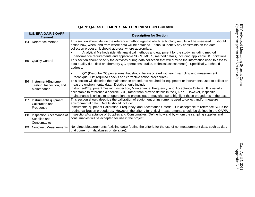|                | <b>U.S. EPA QA/R-5 QAPP</b><br><b>Element</b>                   | <b>Description for Section</b>                                                                                                                                                                                                                                                                                                                                                                                                                                                                                 |
|----------------|-----------------------------------------------------------------|----------------------------------------------------------------------------------------------------------------------------------------------------------------------------------------------------------------------------------------------------------------------------------------------------------------------------------------------------------------------------------------------------------------------------------------------------------------------------------------------------------------|
|                | <b>B4</b> Reference Method                                      | This section should define the reference method against which technology results will be assessed. It should<br>define how, when, and from where data will be obtained. It should identify any constraints on the data<br>collection process. It should address, where appropriate:<br>Analytical Methods (identify analytical methods and equipment for the study, including method<br>performance requirements and applicable SOPs) MDLS, method details, including applicable SOP citations.                |
| B5             | <b>Quality Control</b>                                          | This section should specify the activities during data collection that will provide the information used to assess<br>data quality (i.e., field or laboratory QC operations, audits, technical assessments). Specifically, it should<br>address:<br>QC (Describe QC procedures that should be associated with each sampling and measurement<br>technique. List required checks and corrective action procedures).                                                                                              |
| B <sub>6</sub> | Instrument/Equipment<br>Testing, Inspection, and<br>Maintenance | This section will describe the maintenance procedures required for equipment or instruments used to collect or<br>measure environmental data. Details should include:<br>Instrument/Equipment Testing, Inspection, Maintenance, Frequency, and Acceptance Criteria. It is usually<br>acceptable to reference a specific SOP, rather than provide details in the QAPP. However, if specific<br>maintenance is critical to an operation the project leader may choose to highlight those procedures in the text. |
| B7             | Instrument/Equipment<br>Calibration and<br>Frequency            | This section should describe the calibration of equipment or instruments used to collect and/or measure<br>environmental data. Details should include:<br>Instrument/Equipment Calibration, Frequency, and Acceptance Criteria. It is acceptable to reference SOPs for<br>routine calibration procedures. However, the criteria for critical measurements should be defined in the QAPP.                                                                                                                       |
| B8             | Inspection/Acceptance of<br>Supplies and<br>Consumables         | Inspection/Acceptance of Supplies and Consumables (Define how and by whom the sampling supplies and<br>consumables will be accepted for use in the project).                                                                                                                                                                                                                                                                                                                                                   |
| B9             | <b>Nondirect Measurements</b>                                   | Nondirect Measurements (existing data) (define the criteria for the use of nonmeasurement data, such as data<br>that come from databases or literature).                                                                                                                                                                                                                                                                                                                                                       |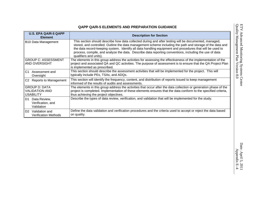| <b>U.S. EPA QA/R-5 QAPP</b><br><b>Element</b>                     | <b>Description for Section</b>                                                                                                                                                                                                                                                                                                                                                                                                                                     |
|-------------------------------------------------------------------|--------------------------------------------------------------------------------------------------------------------------------------------------------------------------------------------------------------------------------------------------------------------------------------------------------------------------------------------------------------------------------------------------------------------------------------------------------------------|
| B10 Data Management                                               | This section should describe how data collected during and after testing will be documented, managed,<br>stored, and controlled. Outline the data management scheme including the path and storage of the data and<br>the data record-keeping system. Identify all data handling equipment and procedures that will be used to<br>process, compile, and analyze the data. Describe data reporting conventions, including the use of data<br>qualifiers and units). |
| <b>GROUP C: ASSESSMENT</b><br>AND OVERSIGHT                       | The elements in this group address the activities for assessing the effectiveness of the implementation of the<br>project and associated QA and QC activities. The purpose of assessment is to ensure that the QA Project Plan<br>is implemented as prescribed.                                                                                                                                                                                                    |
| C <sub>1</sub><br>Assessment and<br>Oversight                     | This section should describe the assessment activities that will be implemented for the project. This will<br>typically include PEs, TSAs, and ADQs.                                                                                                                                                                                                                                                                                                               |
| C2 Reports to Management                                          | This section will identify the frequency, content, and distribution of reports issued to keep management<br>informed of the results of audits and assessments.                                                                                                                                                                                                                                                                                                     |
| <b>GROUP D: DATA</b><br><b>VALIDATION AND</b><br><b>USABILITY</b> | The elements in this group address the activities that occur after the data collection or generation phase of the<br>project is completed. Implementation of these elements ensures that the data conform to the specified criteria,<br>thus achieving the project objectives.                                                                                                                                                                                     |
| D <sub>1</sub><br>Data Review,<br>Verification, and<br>Validation | Describe the types of data review, verification, and validation that will be implemented for the study.                                                                                                                                                                                                                                                                                                                                                            |
| D <sub>2</sub><br>Validation and<br><b>Verification Methods</b>   | Define the data validation and verification procedures and the criteria used to accept or reject the data based<br>on quality.                                                                                                                                                                                                                                                                                                                                     |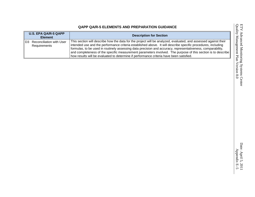# ETV Advanced Monitoring Systems Center<br>Quality Management Plan Version 8.0 Quality Management Plan Version 8.0 ETV Advanced Monitoring Systems Center

| <b>U.S. EPA QA/R-5 QAPP</b><br><b>Element</b>   | <b>Description for Section</b>                                                                                                                                                                                                                                                                                                                                                                                                                                                                                                                              |
|-------------------------------------------------|-------------------------------------------------------------------------------------------------------------------------------------------------------------------------------------------------------------------------------------------------------------------------------------------------------------------------------------------------------------------------------------------------------------------------------------------------------------------------------------------------------------------------------------------------------------|
| Reconciliation with User<br>D3.<br>Requirements | This section will describe how the data for the project will be analyzed, evaluated, and assessed against their<br>intended use and the performance criteria established above. It will describe specific procedures, including<br>formulas, to be used in routinely assessing data precision and accuracy, representativeness, comparability,<br>  and completeness of the specific measurement parameters involved. The purpose of this section is to describe<br>how results will be evaluated to determine if performance criteria have been satisfied. |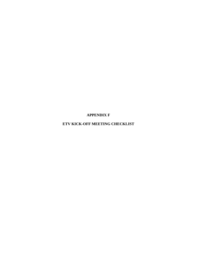**APPENDIX F**

**ETV KICK-OFF MEETING CHECKLIST**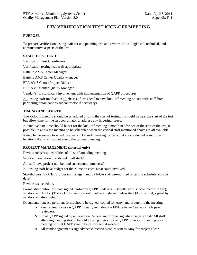# **ETV VERIFICATION TEST KICK-OFF MEETING**

## **PURPOSE**

To prepare verification testing staff for an upcoming test and review critical logistical, technical, and administrative aspects of the test.

## **STAFF TO ATTEND**

Verification Test Coordinator Verification testing leader (if appropriate) Battelle AMS Center Manager Battelle AMS Center Quality Manager EPA AMS Center Project Officer EPA AMS Center Quality Manager Vendor(s), if significant involvement with implementation of QAPP procedures

All testing staff involved in all phases of test (need to have kick-off meeting on-site with staff from

partnering organizations/subcontractor if necessary)

## **TIMING AND LENGTH**

The kick-off meeting should be scheduled prior to the start of testing. It should be near the start of the test but allow time for the test coordinator to address any lingering issues.

A tentative date/time should be set for the kick-off meeting a month in advance of the start of the test, if possible, to allow the meeting to be scheduled when the critical staff mentioned above are all available.

It may be necessary to schedule a second kick-off meeting for tests that are conducted at multiple locations if all staff cannot attend the original meeting.

## **PROJECT MANAGEMENT (internal only)**

Review roles/responsibilities of all staff attending meeting.

Work authorization distributed to all staff?

All staff have project number and subaccount number(s)?

All testing staff have budget for their time on each subaccount involved?

Stakeholders, EPA/ETV program manager, and EPA/QA staff pre-notified of testing schedule and start date?

Review test schedule.

Formal distribution of final, signed hard-copy QAPP made to all Battelle staff, subcontractor (if any), vendors, and EPA? (The kickoff meeting should not be conducted unless the QAPP is final, signed by vendors and distributed).

Documentation: All pertinent forms should be signed, copied for Amy, and brought to the meeting.

- o Peer review forms on QAPP. Ideally includes one EPA reviewer/two non-EPA peer reviewers.
- o Final QAPP signed by all vendors? Where are original signature pages stored? All staff attending meeting should be told to bring their copy of QAPP to kick-off meeting prior to meeting or final QAPP should be distributed at meeting.
- o All vendor agreements signed/checks received/copies sent to Amy for project files?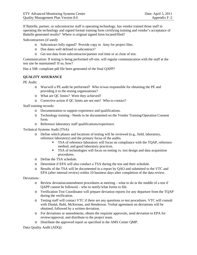If Battelle, partner, or subcontractor staff is operating technology, has vendor trained those staff in operating the technology and signed formal training form certifying training and vendor's acceptance of Battelle generated results? Where is original signed form located/filed?

Subcontractors (if used):

- o Subcontract fully signed? Provide copy to Amy for project files.
- o Due dates well defined in subcontract?
- o Get test data from subcontractor/partner real time or at close of test.

Communication: If testing is being performed off-site, will regular communication with the staff at the test site be maintained? If so, how?

Has a 508- compliant pdf file been generated of the final QAPP?

#### **QUALITY ASSURANCE**

PE Audit:

- o Was/will a PE audit be performed? Who is/was responsible for obtaining the PE and providing it to the testing organizations?
- o What are QC limits? Were they achieved?
- o Corrective action if QC limits are not met? Who to contact?

Staff training records:

- o Documentation to support experience and qualifications.
- o Technology training Needs to be documented on the Vendor Training/Operation Consent form.
- o Reference laboratory staff qualifications/experience.

Technical Systems Audit (TSA):

- o Define which phases and locations of testing will be reviewed (e.g., field, laboratory, reference laboratory) and the primary focus of the audits.
	- TSA of reference laboratory will focus on compliance with the TQAP, reference method, and good laboratory practices.
	- **TSA** of technologies will focus on testing vs. test design and data acquisition procedures.
- o Define the TSA schedule.
- o Determine if EPA will also conduct a TSA during the test and their schedule.
- o Results of the TSA will be documented in a report by QAO and submitted to the VTC and EPA (after internal review) within 10 business days after completion of the data review.

Deviations :

- o Review deviation/amendment procedures at meeting what to do in the middle of a test if QAPP cannot be followed – who to notify/what forms to file.
- o Verification Test Coordinator will prepare deviation reports for any departure from the TQAP during the verification.
- o Testing staff will contact VTC if there are any questions re test procedures. VTC will consult with Dindal, Buhl, McKernan, and Henderson. Verbal agreement on deviations will be obtained, followed by a written deviation.
- o For deviations or amendments, obtain the requisite approvals, send deviation to EPA for review/approval, and distribute to the project team.
- o Distribute the approved report as specified in the AMS Center QMP.

Data Quality Audit (ADQ):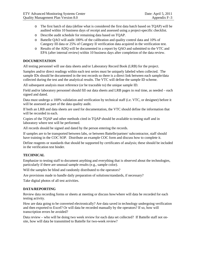- o The first batch of data (define what is considered the first data batch based on TQAP) will be audited within 10 business days of receipt and assessed using a project-specific checklist.
- o Describe audit schedule for remaining data based on TQAP.
- o Battelle QAO will audit 100% of the calibration and quality control data and 10% of Category III data or 25% of Category II verification data acquired in the verification test.
- o Results of the ADQ will be documented in a report by QAO and submitted to the VTC and EPA (after internal review) within 10 business days after completion of the data review.

#### **DOCUMENTATION**

All testing personnel will use data sheets and/or Laboratory Record Book (LRB) for the project.

Samples and/or direct readings within each test series must be uniquely labeled when collected. The sample IDs should be documented in the test records so there is a direct link between each sample/data collected during the test and the analytical results. The VTC will define the sample ID scheme.

All subsequent analysis must reference (or be traceable to) the unique sample ID.

Field and/or laboratory personnel should fill out data sheets and LRB pages in real time, as needed – each signed and dated.

Data must undergo a 100% validation and verification by technical staff (i.e. VTC, or designee) before it will be assessed as part of the data quality audit.

If both an LRB and data sheets are used for documentation, the VTC should define the information that will be recorded in each.

Copies of the TQAP and other methods cited in TQAP should be available to testing staff and in laboratory where test will be performed.

All records should be signed and dated by the person entering the records.

If samples are to be transported between labs, or between Battelle/partner/ subcontractor, staff should have training in the COC SOP. Distribute an example COC form and discuss how to complete it.

Define reagents or standards that should be supported by certificates of analysis; these should be included in the verification test binder.

#### **TECHNICAL**

Emphasize to testing staff to document anything and everything that is observed about the technologies, particularly if there are unusual sample results (e.g., sample color).

Will the samples be blind and randomly distributed to the operators?

Are provisions made to handle daily preparation of solutions/standards, if necessary?

Take digital photos of all test activities.

#### **DATA/REPORTING**

Review data recording forms or sheets at meeting or discuss how/where will data be recorded for each testing activity.

How are data going to be converted electronically? Are data saved in technology undergoing verification and then exported to Excel? Or will data be recorded manually by the operators? If so, how will transcription errors be avoided?

Data review – who will be doing two week review for each data set collected? If Battelle staff not onsite, how will data be transmitted to Battelle for two-week review?